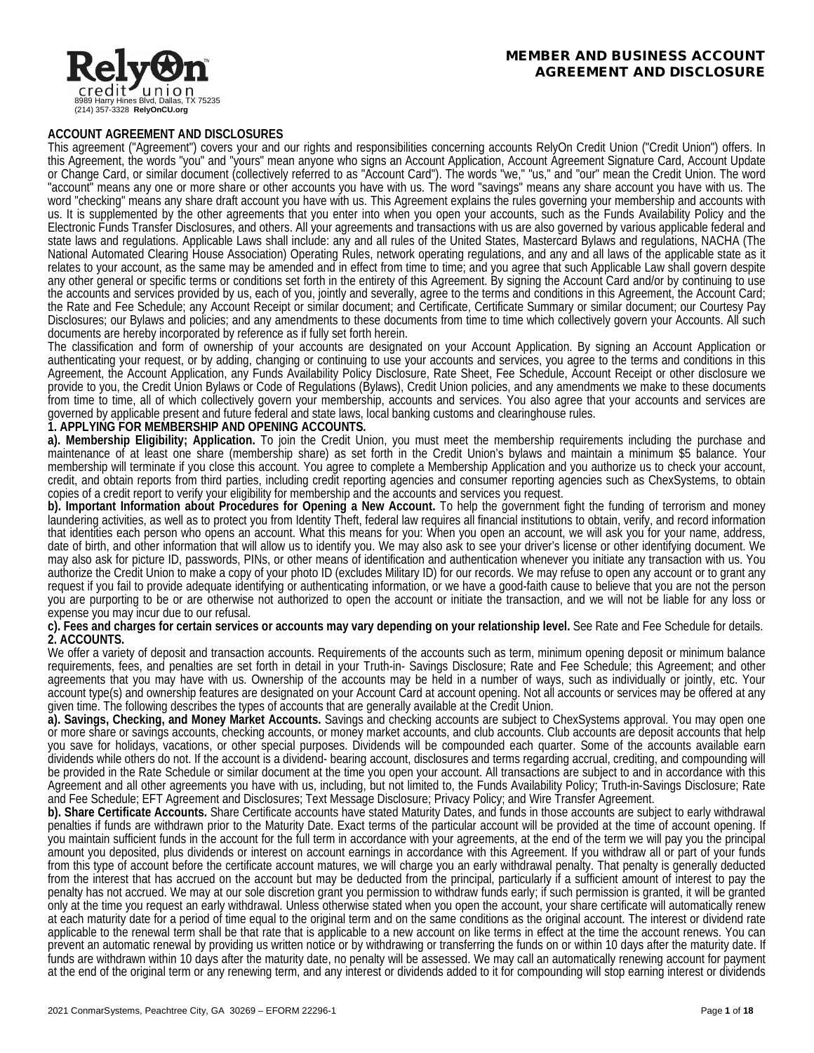

### **ACCOUNT AGREEMENT AND DISCLOSURES**

This agreement ("Agreement") covers your and our rights and responsibilities concerning accounts RelyOn Credit Union ("Credit Union") offers. In this Agreement, the words "you" and "yours" mean anyone who signs an Account Application, Account Agreement Signature Card, Account Update or Change Card, or similar document (collectively referred to as "Account Card"). The words "we," "us," and "our" mean the Credit Union. The word "account" means any one or more share or other accounts you have with us. The word "savings" means any share account you have with us. The word "checking" means any share draft account you have with us. This Agreement explains the rules governing your membership and accounts with us. It is supplemented by the other agreements that you enter into when you open your accounts, such as the Funds Availability Policy and the Electronic Funds Transfer Disclosures, and others. All your agreements and transactions with us are also governed by various applicable federal and state laws and regulations. Applicable Laws shall include: any and all rules of the United States, Mastercard Bylaws and regulations, NACHA (The National Automated Clearing House Association) Operating Rules, network operating regulations, and any and all laws of the applicable state as it relates to your account, as the same may be amended and in effect from time to time; and you agree that such Applicable Law shall govern despite any other general or specific terms or conditions set forth in the entirety of this Agreement. By signing the Account Card and/or by continuing to use the accounts and services provided by us, each of you, jointly and severally, agree to the terms and conditions in this Agreement, the Account Card; the Rate and Fee Schedule; any Account Receipt or similar document; and Certificate, Certificate Summary or similar document; our Courtesy Pay Disclosures; our Bylaws and policies; and any amendments to these documents from time to time which collectively govern your Accounts. All such documents are hereby incorporated by reference as if fully set forth herein.

The classification and form of ownership of your accounts are designated on your Account Application. By signing an Account Application or authenticating your request, or by adding, changing or continuing to use your accounts and services, you agree to the terms and conditions in this Agreement, the Account Application, any Funds Availability Policy Disclosure, Rate Sheet, Fee Schedule, Account Receipt or other disclosure we provide to you, the Credit Union Bylaws or Code of Regulations (Bylaws), Credit Union policies, and any amendments we make to these documents from time to time, all of which collectively govern your membership, accounts and services. You also agree that your accounts and services are governed by applicable present and future federal and state laws, local banking customs and clearinghouse rules.

# **1. APPLYING FOR MEMBERSHIP AND OPENING ACCOUNTS.**

**a). Membership Eligibility; Application.** To join the Credit Union, you must meet the membership requirements including the purchase and maintenance of at least one share (membership share) as set forth in the Credit Union's bylaws and maintain a minimum \$5 balance. Your membership will terminate if you close this account. You agree to complete a Membership Application and you authorize us to check your account, credit, and obtain reports from third parties, including credit reporting agencies and consumer reporting agencies such as ChexSystems, to obtain copies of a credit report to verify your eligibility for membership and the accounts and services you request.

**b). Important Information about Procedures for Opening a New Account.** To help the government fight the funding of terrorism and money laundering activities, as well as to protect you from Identity Theft, federal law requires all financial institutions to obtain, verify, and record information that identities each person who opens an account. What this means for you: When you open an account, we will ask you for your name, address, date of birth, and other information that will allow us to identify you. We may also ask to see your driver's license or other identifying document. We may also ask for picture ID, passwords, PINs, or other means of identification and authentication whenever you initiate any transaction with us. You authorize the Credit Union to make a copy of your photo ID (excludes Military ID) for our records. We may refuse to open any account or to grant any request if you fail to provide adequate identifying or authenticating information, or we have a good-faith cause to believe that you are not the person you are purporting to be or are otherwise not authorized to open the account or initiate the transaction, and we will not be liable for any loss or expense you may incur due to our refusal.

### **c). Fees and charges for certain services or accounts may vary depending on your relationship level.** See Rate and Fee Schedule for details. **2. ACCOUNTS.**

We offer a variety of deposit and transaction accounts. Requirements of the accounts such as term, minimum opening deposit or minimum balance requirements, fees, and penalties are set forth in detail in your Truth-in- Savings Disclosure; Rate and Fee Schedule; this Agreement; and other agreements that you may have with us. Ownership of the accounts may be held in a number of ways, such as individually or jointly, etc. Your account type(s) and ownership features are designated on your Account Card at account opening. Not all accounts or services may be offered at any given time. The following describes the types of accounts that are generally available at the Credit Union.

**a). Savings, Checking, and Money Market Accounts.** Savings and checking accounts are subject to ChexSystems approval. You may open one or more share or savings accounts, checking accounts, or money market accounts, and club accounts. Club accounts are deposit accounts that help you save for holidays, vacations, or other special purposes. Dividends will be compounded each quarter. Some of the accounts available earn dividends while others do not. If the account is a dividend- bearing account, disclosures and terms regarding accrual, crediting, and compounding will be provided in the Rate Schedule or similar document at the time you open your account. All transactions are subject to and in accordance with this Agreement and all other agreements you have with us, including, but not limited to, the Funds Availability Policy; Truth-in-Savings Disclosure; Rate and Fee Schedule; EFT Agreement and Disclosures; Text Message Disclosure; Privacy Policy; and Wire Transfer Agreement.

**b). Share Certificate Accounts.** Share Certificate accounts have stated Maturity Dates, and funds in those accounts are subject to early withdrawal penalties if funds are withdrawn prior to the Maturity Date. Exact terms of the particular account will be provided at the time of account opening. If you maintain sufficient funds in the account for the full term in accordance with your agreements, at the end of the term we will pay you the principal amount you deposited, plus dividends or interest on account earnings in accordance with this Agreement. If you withdraw all or part of your funds from this type of account before the certificate account matures, we will charge you an early withdrawal penalty. That penalty is generally deducted from the interest that has accrued on the account but may be deducted from the principal, particularly if a sufficient amount of interest to pay the penalty has not accrued. We may at our sole discretion grant you permission to withdraw funds early; if such permission is granted, it will be granted only at the time you request an early withdrawal. Unless otherwise stated when you open the account, your share certificate will automatically renew at each maturity date for a period of time equal to the original term and on the same conditions as the original account. The interest or dividend rate applicable to the renewal term shall be that rate that is applicable to a new account on like terms in effect at the time the account renews. You can prevent an automatic renewal by providing us written notice or by withdrawing or transferring the funds on or within 10 days after the maturity date. If funds are withdrawn within 10 days after the maturity date, no penalty will be assessed. We may call an automatically renewing account for payment at the end of the original term or any renewing term, and any interest or dividends added to it for compounding will stop earning interest or dividends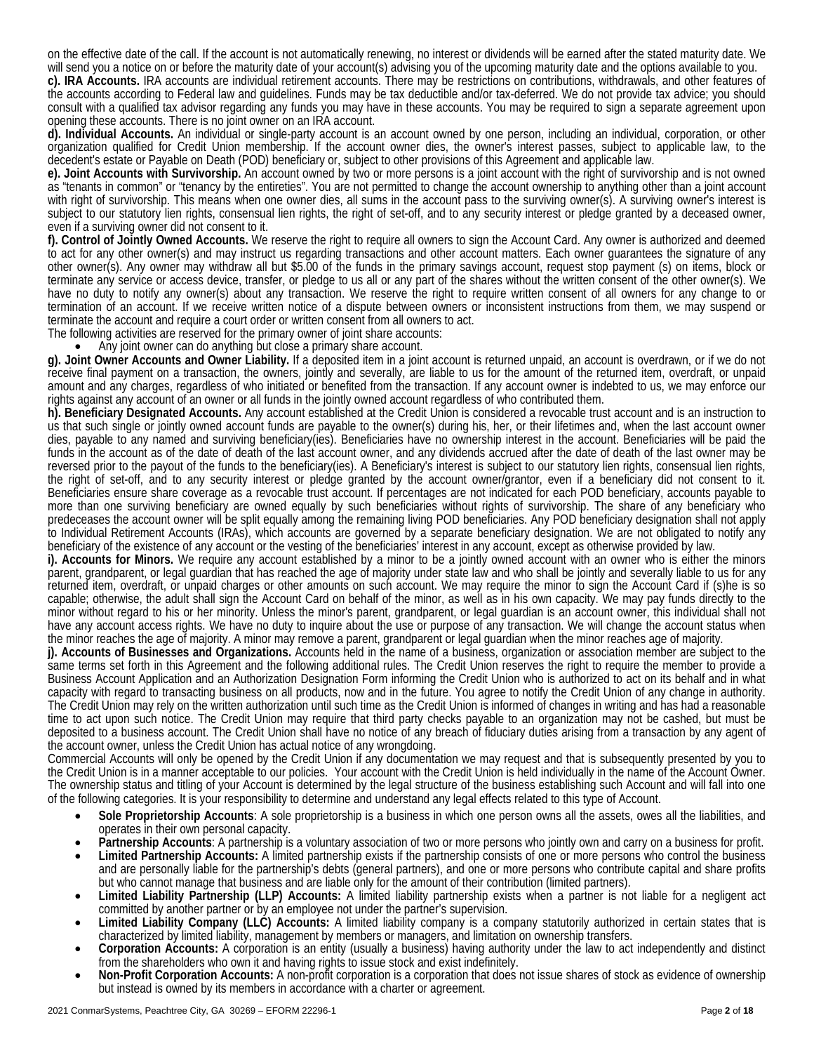on the effective date of the call. If the account is not automatically renewing, no interest or dividends will be earned after the stated maturity date. We will send you a notice on or before the maturity date of your account(s) advising you of the upcoming maturity date and the options available to you.

**c). IRA Accounts.** IRA accounts are individual retirement accounts. There may be restrictions on contributions, withdrawals, and other features of the accounts according to Federal law and guidelines. Funds may be tax deductible and/or tax-deferred. We do not provide tax advice; you should consult with a qualified tax advisor regarding any funds you may have in these accounts. You may be required to sign a separate agreement upon opening these accounts. There is no joint owner on an IRA account.

**d). Individual Accounts.** An individual or single-party account is an account owned by one person, including an individual, corporation, or other organization qualified for Credit Union membership. If the account owner dies, the owner's interest passes, subject to applicable law, to the decedent's estate or Payable on Death (POD) beneficiary or, subject to other provisions of this Agreement and applicable law.

**e). Joint Accounts with Survivorship.** An account owned by two or more persons is a joint account with the right of survivorship and is not owned as "tenants in common" or "tenancy by the entireties". You are not permitted to change the account ownership to anything other than a joint account with right of survivorship. This means when one owner dies, all sums in the account pass to the surviving owner(s). A surviving owner's interest is subject to our statutory lien rights, consensual lien rights, the right of set-off, and to any security interest or pledge granted by a deceased owner, even if a surviving owner did not consent to it.

**f). Control of Jointly Owned Accounts.** We reserve the right to require all owners to sign the Account Card. Any owner is authorized and deemed to act for any other owner(s) and may instruct us regarding transactions and other account matters. Each owner guarantees the signature of any other owner(s). Any owner may withdraw all but \$5.00 of the funds in the primary savings account, request stop payment (s) on items, block or terminate any service or access device, transfer, or pledge to us all or any part of the shares without the written consent of the other owner(s). We have no duty to notify any owner(s) about any transaction. We reserve the right to require written consent of all owners for any change to or termination of an account. If we receive written notice of a dispute between owners or inconsistent instructions from them, we may suspend or terminate the account and require a court order or written consent from all owners to act.

The following activities are reserved for the primary owner of joint share accounts:<br>• Any joint owner can do anything but close a primary share account.

**g). Joint Owner Accounts and Owner Liability.** If a deposited item in a joint account is returned unpaid, an account is overdrawn, or if we do not receive final payment on a transaction, the owners, jointly and severally, are liable to us for the amount of the returned item, overdraft, or unpaid amount and any charges, regardless of who initiated or benefited from the transaction. If any account owner is indebted to us, we may enforce our rights against any account of an owner or all funds in the jointly owned account regardless of who contributed them.

**h). Beneficiary Designated Accounts.** Any account established at the Credit Union is considered a revocable trust account and is an instruction to us that such single or jointly owned account funds are payable to the owner(s) during his, her, or their lifetimes and, when the last account owner dies, payable to any named and surviving beneficiary(ies). Beneficiaries have no ownership interest in the account. Beneficiaries will be paid the funds in the account as of the date of death of the last account owner, and any dividends accrued after the date of death of the last owner may be reversed prior to the payout of the funds to the beneficiary(ies). A Beneficiary's interest is subject to our statutory lien rights, consensual lien rights, the right of set-off, and to any security interest or pledge granted by the account owner/grantor, even if a beneficiary did not consent to it. Beneficiaries ensure share coverage as a revocable trust account. If percentages are not indicated for each POD beneficiary, accounts payable to more than one surviving beneficiary are owned equally by such beneficiaries without rights of survivorship. The share of any beneficiary who predeceases the account owner will be split equally among the remaining living POD beneficiaries. Any POD beneficiary designation shall not apply to Individual Retirement Accounts (IRAs), which accounts are governed by a separate beneficiary designation. We are not obligated to notify any beneficiary of the existence of any account or the vesting of the beneficiaries' interest in any account, except as otherwise provided by law.

**i). Accounts for Minors.** We require any account established by a minor to be a jointly owned account with an owner who is either the minors parent, grandparent, or legal guardian that has reached the age of majority under state law and who shall be jointly and severally liable to us for any returned item, overdraft, or unpaid charges or other amounts on such account. We may require the minor to sign the Account Card if (s)he is so capable; otherwise, the adult shall sign the Account Card on behalf of the minor, as well as in his own capacity. We may pay funds directly to the minor without regard to his or her minority. Unless the minor's parent, grandparent, or legal guardian is an account owner, this individual shall not have any account access rights. We have no duty to inquire about the use or purpose of any transaction. We will change the account status when the minor reaches age of majority.

j). Accounts of Businesses and Organizations. Accounts held in the name of a business, organization or association member are subject to the same terms set forth in this Agreement and the following additional rules. The Credit Union reserves the right to require the member to provide a Business Account Application and an Authorization Designation Form informing the Credit Union who is authorized to act on its behalf and in what capacity with regard to transacting business on all products, now and in the future. You agree to notify the Credit Union of any change in authority. The Credit Union may rely on the written authorization until such time as the Credit Union is informed of changes in writing and has had a reasonable time to act upon such notice. The Credit Union may require that third party checks payable to an organization may not be cashed, but must be deposited to a business account. The Credit Union shall have no notice of any breach of fiduciary duties arising from a transaction by any agent of the account owner, unless the Credit Union has actual notice of any wrongdoing.

Commercial Accounts will only be opened by the Credit Union if any documentation we may request and that is subsequently presented by you to the Credit Union is in a manner acceptable to our policies. Your account with the Credit Union is held individually in the name of the Account Owner. The ownership status and titling of your Account is determined by the legal structure of the business establishing such Account and will fall into one of the following categories. It is your responsibility to determine and understand any legal effects related to this type of Account.

- **Sole Proprietorship Accounts**: A sole proprietorship is a business in which one person owns all the assets, owes all the liabilities, and operates in their own personal capacity.
- **Partnership Accounts**: A partnership is a voluntary association of two or more persons who jointly own and carry on a business for profit.
- **Limited Partnership Accounts:** A limited partnership exists if the partnership consists of one or more persons who control the business and are personally liable for the partnership's debts (general partners), and one or more persons who contribute capital and share profits but who cannot manage that business and are liable only for the amount of their con
- Limited Liability Partnership (LLP) Accounts: A limited liability partnership exists when a partner is not liable for a negligent act committed by another partner or by an employee not under the partner's supervision.
- **Limited Liability Company (LLC) Accounts:** A limited liability company is a company statutorily authorized in certain states that is characterized by limited liability, management by members or managers, and limitation on ownership transfers.
- **Corporation Accounts:** A corporation is an entity (usually a business) having authority under the law to act independently and distinct from the shareholders who own it and having rights to issue stock and exist indefinitely.
- **Non-Profit Corporation Accounts:** A non-profit corporation is a corporation that does not issue shares of stock as evidence of ownership but instead is owned by its members in accordance with a charter or agreement.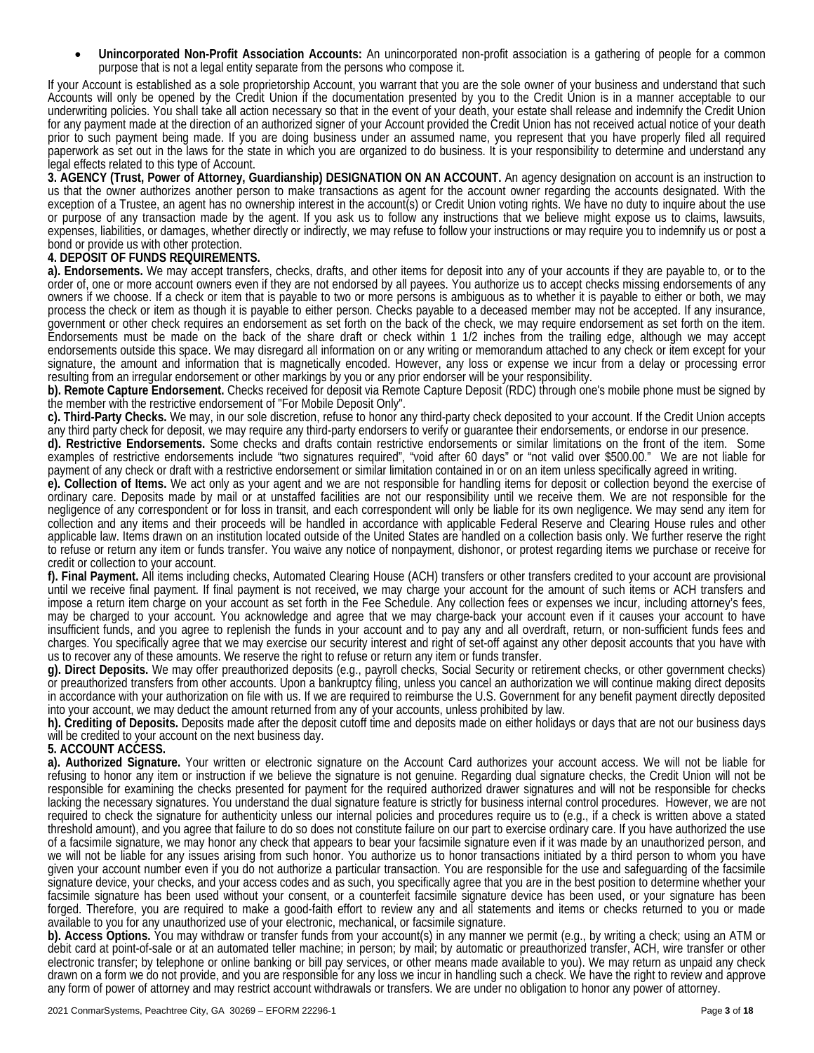• **Unincorporated Non-Profit Association Accounts:** An unincorporated non-profit association is a gathering of people for a common purpose that is not a legal entity separate from the persons who compose it.

If your Account is established as a sole proprietorship Account, you warrant that you are the sole owner of your business and understand that such Accounts will only be opened by the Credit Union if the documentation presented by you to the Credit Union is in a manner acceptable to our underwriting policies. You shall take all action necessary so that in the event of your death, your estate shall release and indemnify the Credit Union for any payment made at the direction of an authorized signer of your Account provided the Credit Union has not received actual notice of your death prior to such payment being made. If you are doing business under an assumed name, you represent that you have properly filed all required paperwork as set out in the laws for the state in which you are organized to do business. It is your responsibility to determine and understand any legal effects related to this type of Account.

**3. AGENCY (Trust, Power of Attorney, Guardianship) DESIGNATION ON AN ACCOUNT.** An agency designation on account is an instruction to us that the owner authorizes another person to make transactions as agent for the account owner regarding the accounts designated. With the exception of a Trustee, an agent has no ownership interest in the account(s) or Credit Union voting rights. We have no duty to inquire about the use or purpose of any transaction made by the agent. If you ask us to follow any instructions that we believe might expose us to claims, lawsuits, expenses, liabilities, or damages, whether directly or indirectly, we may refuse to follow your instructions or may require you to indemnify us or post a bond or provide us with other protection.

## **4. DEPOSIT OF FUNDS REQUIREMENTS.**

**a). Endorsements.** We may accept transfers, checks, drafts, and other items for deposit into any of your accounts if they are payable to, or to the order of, one or more account owners even if they are not endorsed by all payees. You authorize us to accept checks missing endorsements of any owners if we choose. If a check or item that is payable to two or more persons is ambiguous as to whether it is payable to either or both, we may process the check or item as though it is payable to either person. Checks payable to a deceased member may not be accepted. If any insurance, government or other check requires an endorsement as set forth on the back of the check, we may require endorsement as set forth on the item. Endorsements must be made on the back of the share draft or check within 1 1/2 inches from the trailing edge, although we may accept endorsements outside this space. We may disregard all information on or any writing or memorandum attached to any check or item except for your signature, the amount and information that is magnetically encoded. However, any loss or expense we incur from a delay or processing error resulting from an irregular endorsement or other markings by you or any prior endorser will be your responsibility.

**b). Remote Capture Endorsement.** Checks received for deposit via Remote Capture Deposit (RDC) through one's mobile phone must be signed by the member with the restrictive endorsement of "For Mobile Deposit Only".

**c). Third-Party Checks.** We may, in our sole discretion, refuse to honor any third-party check deposited to your account. If the Credit Union accepts any third party check for deposit, we may require any third-party endorsers to verify or guarantee their endorsements, or endorse in our presence.

**d). Restrictive Endorsements.** Some checks and drafts contain restrictive endorsements or similar limitations on the front of the item. Some examples of restrictive endorsements include "two signatures required", "void after 60 days" or "not valid over \$500.00." We are not liable for payment of any check or draft with a restrictive endorsement or similar limitation contained in or on an item unless specifically agreed in writing.

**e). Collection of Items.** We act only as your agent and we are not responsible for handling items for deposit or collection beyond the exercise of ordinary care. Deposits made by mail or at unstaffed facilities are not our responsibility until we receive them. We are not responsible for the negligence of any correspondent or for loss in transit, and each correspondent will only be liable for its own negligence. We may send any item for collection and any items and their proceeds will be handled in accordance with applicable Federal Reserve and Clearing House rules and other applicable law. Items drawn on an institution located outside of the United States are handled on a collection basis only. We further reserve the right to refuse or return any item or funds transfer. You waive any notice of nonpayment, dishonor, or protest regarding items we purchase or receive for credit or collection to your account.

**f). Final Payment.** All items including checks, Automated Clearing House (ACH) transfers or other transfers credited to your account are provisional until we receive final payment. If final payment is not received, we may charge your account for the amount of such items or ACH transfers and impose a return item charge on your account as set forth in the Fee Schedule. Any collection fees or expenses we incur, including attorney's fees, may be charged to your account. You acknowledge and agree that we may charge-back your account even if it causes your account to have insufficient funds, and you agree to replenish the funds in your account and to pay any and all overdraft, return, or non-sufficient funds fees and charges. You specifically agree that we may exercise our security interest and right of set-off against any other deposit accounts that you have with us to recover any of these amounts. We reserve the right to refuse or return any item or funds transfer.

**g). Direct Deposits.** We may offer preauthorized deposits (e.g., payroll checks, Social Security or retirement checks, or other government checks) or preauthorized transfers from other accounts. Upon a bankruptcy filing, unless you cancel an authorization we will continue making direct deposits in accordance with your authorization on file with us. If we are required to reimburse the U.S. Government for any benefit payment directly deposited into your account, we may deduct the amount returned from any of your accounts, unless prohibited by law.

**h). Crediting of Deposits.** Deposits made after the deposit cutoff time and deposits made on either holidays or days that are not our business days will be credited to your account on the next business day.

# **5. ACCOUNT ACCESS.**

**a). Authorized Signature.** Your written or electronic signature on the Account Card authorizes your account access. We will not be liable for refusing to honor any item or instruction if we believe the signature is not genuine. Regarding dual signature checks, the Credit Union will not be responsible for examining the checks presented for payment for the required authorized drawer signatures and will not be responsible for checks lacking the necessary signatures. You understand the dual signature feature is strictly for business internal control procedures. However, we are not required to check the signature for authenticity unless our internal policies and procedures require us to (e.g., if a check is written above a stated threshold amount), and you agree that failure to do so does not constitute failure on our part to exercise ordinary care. If you have authorized the use of a facsimile signature, we may honor any check that appears to bear your facsimile signature even if it was made by an unauthorized person, and we will not be liable for any issues arising from such honor. You authorize us to honor transactions initiated by a third person to whom you have given your account number even if you do not authorize a particular transaction. You are responsible for the use and safeguarding of the facsimile signature device, your checks, and your access codes and as such, you specifically agree that you are in the best position to determine whether your facsimile signature has been used without your consent, or a counterfeit facsimile signature device has been used, or your signature has been forged. Therefore, you are required to make a good-faith effort to review any and all statements and items or checks returned to you or made available to you for any unauthorized use of your electronic, mechanical, or facsimile signature.

**b). Access Options.** You may withdraw or transfer funds from your account(s) in any manner we permit (e.g., by writing a check; using an ATM or debit card at point-of-sale or at an automated teller machine; in person; by mail; by automatic or preauthorized transfer, ACH, wire transfer or other electronic transfer; by telephone or online banking or bill pay services, or other means made available to you). We may return as unpaid any check drawn on a form we do not provide, and you are responsible for any loss we incur in handling such a check. We have the right to review and approve any form of power of attorney and may restrict account withdrawals or transfers. We are under no obligation to honor any power of attorney.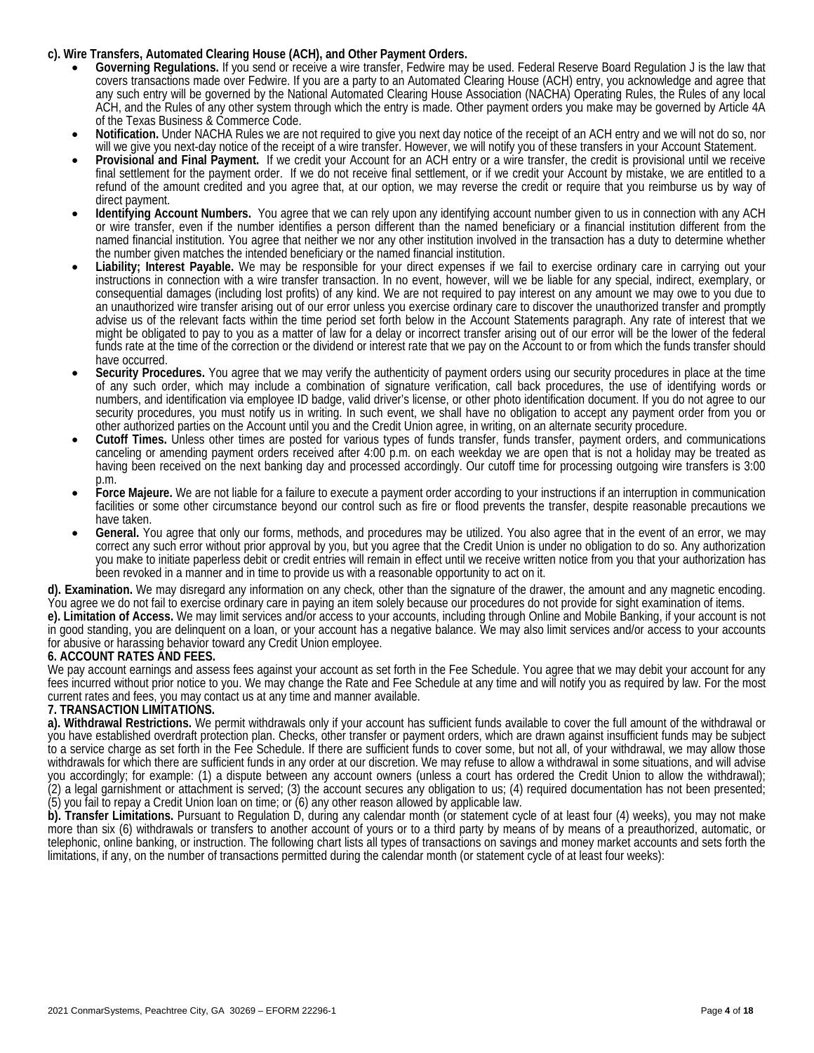## **c). Wire Transfers, Automated Clearing House (ACH), and Other Payment Orders.**

- **Governing Regulations.** If you send or receive a wire transfer, Fedwire may be used. Federal Reserve Board Regulation J is the law that covers transactions made over Fedwire. If you are a party to an Automated Clearing House (ACH) entry, you acknowledge and agree that any such entry will be governed by the National Automated Clearing House Association (NACHA) Operating Rules, the Rules of any local ACH, and the Rules of any other system through which the entry is made. Other payment orders you make may be governed by Article 4A of the Texas Business & Commerce Code.
- Notification. Under NACHA Rules we are not required to give you next day notice of the receipt of an ACH entry and we will not do so, nor will we give you next-day notice of the receipt of a wire transfer. However, we will notify you of these transfers in your Account Statement.
- **Provisional and Final Payment.** If we credit your Account for an ACH entry or a wire transfer, the credit is provisional until we receive final settlement for the payment order. If we do not receive final settlement, or if we credit your Account by mistake, we are entitled to a refund of the amount credited and you agree that, at our option, we may reverse the credit or require that you reimburse us by way of direct payment.
- **Identifying Account Numbers.** You agree that we can rely upon any identifying account number given to us in connection with any ACH or wire transfer, even if the number identifies a person different than the named beneficiary or a financial institution different from the named financial institution. You agree that neither we nor any other institution involved in the transaction has a duty to determine whether the number given matches the intended beneficiary or the named financial institut
- Liability; Interest Payable. We may be responsible for your direct expenses if we fail to exercise ordinary care in carrying out your instructions in connection with a wire transfer transaction. In no event, however, will we be liable for any special, indirect, exemplary, or consequential damages (including lost profits) of any kind. We are not required to pay interest on any amount we may owe to you due to an unauthorized wire transfer arising out of our error unless you exercise ordinary care to discover the unauthorized transfer and promptly advise us of the relevant facts within the time period set forth below in the Account Statements paragraph. Any rate of interest that we might be obligated to pay to you as a matter of law for a delay or incorrect transfer arising out of our error will be the lower of the federal funds rate at the time of the correction or the dividend or interest rate that we pay on the Account to or from which the funds transfer should have occurred.
- **Security Procedures.** You agree that we may verify the authenticity of payment orders using our security procedures in place at the time of any such order, which may include a combination of signature verification, call back procedures, the use of identifying words or numbers, and identification via employee ID badge, valid driver's license, or other photo identification document. If you do not agree to our security procedures, you must notify us in writing. In such event, we shall have no obligation to accept any payment order from you or other authorized parties on the Account until you and the Credit Union agree, in writing, on an alternate security procedure.
- **Cutoff Times.** Unless other times are posted for various types of funds transfer, funds transfer, payment orders, and communications canceling or amending payment orders received after 4:00 p.m. on each weekday we are open that is not a holiday may be treated as having been received on the next banking day and processed accordingly. Our cutoff time for processing outgoing wire transfers is 3:00 p.m.
- **Force Majeure.** We are not liable for a failure to execute a payment order according to your instructions if an interruption in communication facilities or some other circumstance beyond our control such as fire or flood prevents the transfer, despite reasonable precautions we have taken.
- **General.** You agree that only our forms, methods, and procedures may be utilized. You also agree that in the event of an error, we may correct any such error without prior approval by you, but you agree that the Credit Union is under no obligation to do so. Any authorization you make to initiate paperless debit or credit entries will remain in effect until we receive written notice from you that your authorization has been revoked in a manner and in time to provide us with a reasonable opportunity to act on it.

**d). Examination.** We may disregard any information on any check, other than the signature of the drawer, the amount and any magnetic encoding. You agree we do not fail to exercise ordinary care in paying an item solely because our procedures do not provide for sight examination of items.

**e). Limitation of Access.** We may limit services and/or access to your accounts, including through Online and Mobile Banking, if your account is not in good standing, you are delinquent on a loan, or your account has a negative balance. We may also limit services and/or access to your accounts for abusive or harassing behavior toward any Credit Union employee.

# **6. ACCOUNT RATES AND FEES.**

We pay account earnings and assess fees against your account as set forth in the Fee Schedule. You agree that we may debit your account for any fees incurred without prior notice to you. We may change the Rate and Fee Schedule at any time and will notify you as required by law. For the most current rates and fees, you may contact us at any time and manner available.

# **7. TRANSACTION LIMITATIONS.**

**a). Withdrawal Restrictions.** We permit withdrawals only if your account has sufficient funds available to cover the full amount of the withdrawal or you have established overdraft protection plan. Checks, other transfer or payment orders, which are drawn against insufficient funds may be subject to a service charge as set forth in the Fee Schedule. If there are sufficient funds to cover some, but not all, of your withdrawal, we may allow those withdrawals for which there are sufficient funds in any order at our discretion. We may refuse to allow a withdrawal in some situations, and will advise you accordingly; for example: (1) a dispute between any account owners (unless a court has ordered the Credit Union to allow the withdrawal); (2) a legal garnishment or attachment is served; (3) the account secures any obligation to us; (4) required documentation has not been presented; (5) you fail to repay a Credit Union loan on time; or (6) any other reason allowed by applicable law.

**b). Transfer Limitations.** Pursuant to Regulation D, during any calendar month (or statement cycle of at least four (4) weeks), you may not make more than six (6) withdrawals or transfers to another account of yours or to a third party by means of by means of a preauthorized, automatic, or telephonic, online banking, or instruction. The following chart lists all types of transactions on savings and money market accounts and sets forth the limitations, if any, on the number of transactions permitted during the calendar month (or statement cycle of at least four weeks):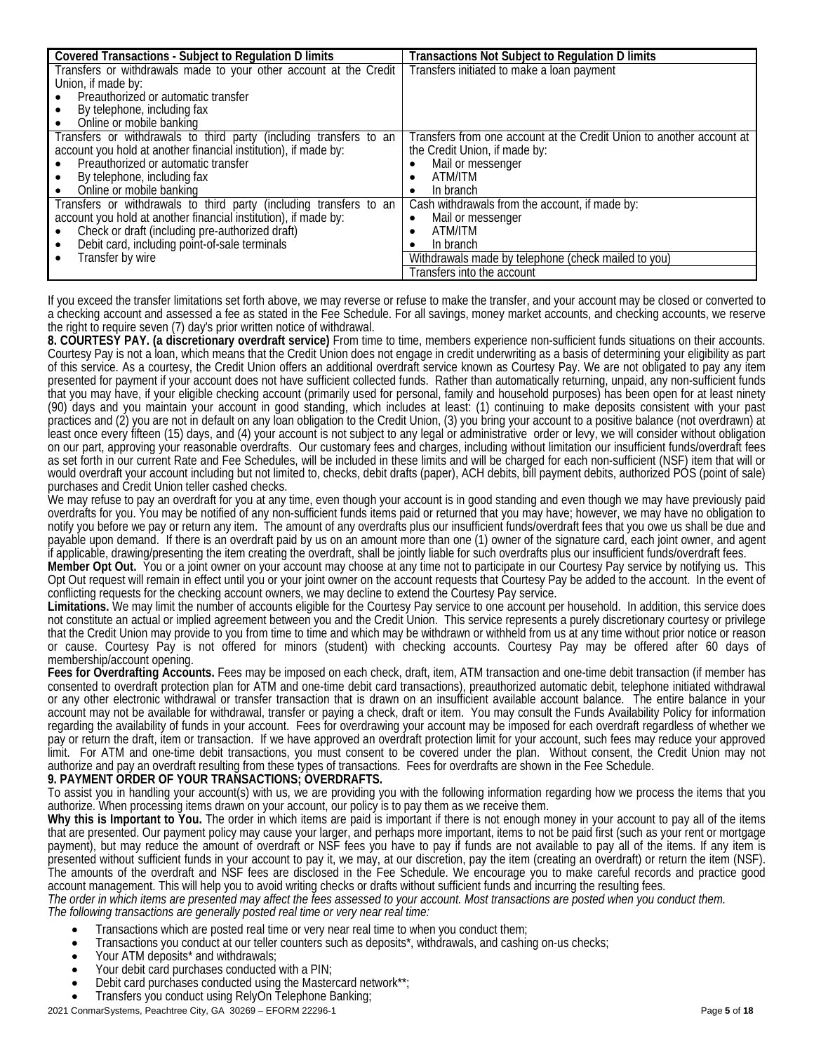| <b>Covered Transactions - Subject to Regulation D limits</b>       | <b>Transactions Not Subject to Regulation D limits</b>               |
|--------------------------------------------------------------------|----------------------------------------------------------------------|
| Transfers or withdrawals made to your other account at the Credit  | Transfers initiated to make a loan payment                           |
| Union, if made by:                                                 |                                                                      |
| Preauthorized or automatic transfer                                |                                                                      |
| By telephone, including fax                                        |                                                                      |
| Online or mobile banking                                           |                                                                      |
| Transfers or withdrawals to third party (including transfers to an | Transfers from one account at the Credit Union to another account at |
| account you hold at another financial institution), if made by:    | the Credit Union, if made by:                                        |
| Preauthorized or automatic transfer                                | Mail or messenger<br>٠                                               |
| By telephone, including fax                                        | ATM/ITM                                                              |
| Online or mobile banking                                           | In branch<br>$\bullet$                                               |
| Transfers or withdrawals to third party (including transfers to an | Cash withdrawals from the account, if made by:                       |
| account you hold at another financial institution), if made by:    | Mail or messenger<br>$\bullet$                                       |
| Check or draft (including pre-authorized draft)                    | ATM/ITM<br>٠                                                         |
| Debit card, including point-of-sale terminals                      | In branch<br>٠                                                       |
| Transfer by wire                                                   | Withdrawals made by telephone (check mailed to you)                  |
|                                                                    | Transfers into the account                                           |

If you exceed the transfer limitations set forth above, we may reverse or refuse to make the transfer, and your account may be closed or converted to a checking account and assessed a fee as stated in the Fee Schedule. For all savings, money market accounts, and checking accounts, we reserve the right to require seven (7) day's prior written notice of withdrawal.

**8. COURTESY PAY. (a discretionary overdraft service)** From time to time, members experience non-sufficient funds situations on their accounts. Courtesy Pay is not a loan, which means that the Credit Union does not engage in credit underwriting as a basis of determining your eligibility as part of this service. As a courtesy, the Credit Union offers an additional overdraft service known as Courtesy Pay. We are not obligated to pay any item presented for payment if your account does not have sufficient collected funds. Rather than automatically returning, unpaid, any non-sufficient funds that you may have, if your eligible checking account (primarily used for personal, family and household purposes) has been open for at least ninety (90) days and you maintain your account in good standing, which includes at least: (1) continuing to make deposits consistent with your past practices and (2) you are not in default on any loan obligation to the Credit Union, (3) you bring your account to a positive balance (not overdrawn) at least once every fifteen (15) days, and (4) your account is not subject to any legal or administrative order or levy, we will consider without obligation on our part, approving your reasonable overdrafts. Our customary fees and charges, including without limitation our insufficient funds/overdraft fees as set forth in our current Rate and Fee Schedules, will be included in these limits and will be charged for each non-sufficient (NSF) item that will or would overdraft your account including but not limited to, checks, debit drafts (paper), ACH debits, bill payment debits, authorized POS (point of sale) purchases and Credit Union teller cashed checks.

We may refuse to pay an overdraft for you at any time, even though your account is in good standing and even though we may have previously paid overdrafts for you. You may be notified of any non-sufficient funds items paid or returned that you may have; however, we may have no obligation to notify you before we pay or return any item. The amount of any overdrafts plus our insufficient funds/overdraft fees that you owe us shall be due and payable upon demand. If there is an overdraft paid by us on an amount more than one (1) owner of the signature card, each joint owner, and agent if applicable, drawing/presenting the item creating the overdraft, shall be jointly liable for such overdrafts plus our insufficient funds/overdraft fees.

**Member Opt Out.** You or a joint owner on your account may choose at any time not to participate in our Courtesy Pay service by notifying us. This Opt Out request will remain in effect until you or your joint owner on the account requests that Courtesy Pay be added to the account. In the event of conflicting requests for the checking account owners, we may decline to extend the Courtesy Pay service.

**Limitations.** We may limit the number of accounts eligible for the Courtesy Pay service to one account per household. In addition, this service does not constitute an actual or implied agreement between you and the Credit Union. This service represents a purely discretionary courtesy or privilege that the Credit Union may provide to you from time to time and which may be withdrawn or withheld from us at any time without prior notice or reason or cause. Courtesy Pay is not offered for minors (student) with checking accounts. Courtesy Pay may be offered after 60 days of membership/account opening.

**Fees for Overdrafting Accounts.** Fees may be imposed on each check, draft, item, ATM transaction and one-time debit transaction (if member has consented to overdraft protection plan for ATM and one-time debit card transactions), preauthorized automatic debit, telephone initiated withdrawal or any other electronic withdrawal or transfer transaction that is drawn on an insufficient available account balance. The entire balance in your account may not be available for withdrawal, transfer or paying a check, draft or item. You may consult the Funds Availability Policy for information regarding the availability of funds in your account. Fees for overdrawing your account may be imposed for each overdraft regardless of whether we pay or return the draft, item or transaction. If we have approved an overdraft protection limit for your account, such fees may reduce your approved limit. For ATM and one-time debit transactions, you must consent to be covered under the plan. Without consent, the Credit Union may not authorize and pay an overdraft resulting from these types of transactions. Fees for overdrafts are shown in the Fee Schedule.

# **9. PAYMENT ORDER OF YOUR TRANSACTIONS; OVERDRAFTS.**

To assist you in handling your account(s) with us, we are providing you with the following information regarding how we process the items that you authorize. When processing items drawn on your account, our policy is to pay them as we receive them.

**Why this is Important to You.** The order in which items are paid is important if there is not enough money in your account to pay all of the items that are presented. Our payment policy may cause your larger, and perhaps more important, items to not be paid first (such as your rent or mortgage payment), but may reduce the amount of overdraft or NSF fees you have to pay if funds are not available to pay all of the items. If any item is presented without sufficient funds in your account to pay it, we may, at our discretion, pay the item (creating an overdraft) or return the item (NSF). The amounts of the overdraft and NSF fees are disclosed in the Fee Schedule. We encourage you to make careful records and practice good account management. This will help you to avoid writing checks or drafts without sufficient funds and incurring the resulting fees.

The order in which items are presented may affect the tees assessed to your account. Most transactions are posted when you conduct them.<br>The following transactions are generally posted real time or very near real time:

- 
- Transactions which are posted real time or very near real time to when you conduct them;<br>Transactions you conduct at our teller counters such as deposits\*, withdrawals, and cashing on-us checks;<br>Your ATM deposits\* and with
- 
- Your debit card purchases conducted with a PIN;
- Debit card purchases conducted using the Mastercard network\*\*;<br>Transfers you conduct using RelyOn Telephone Banking;
-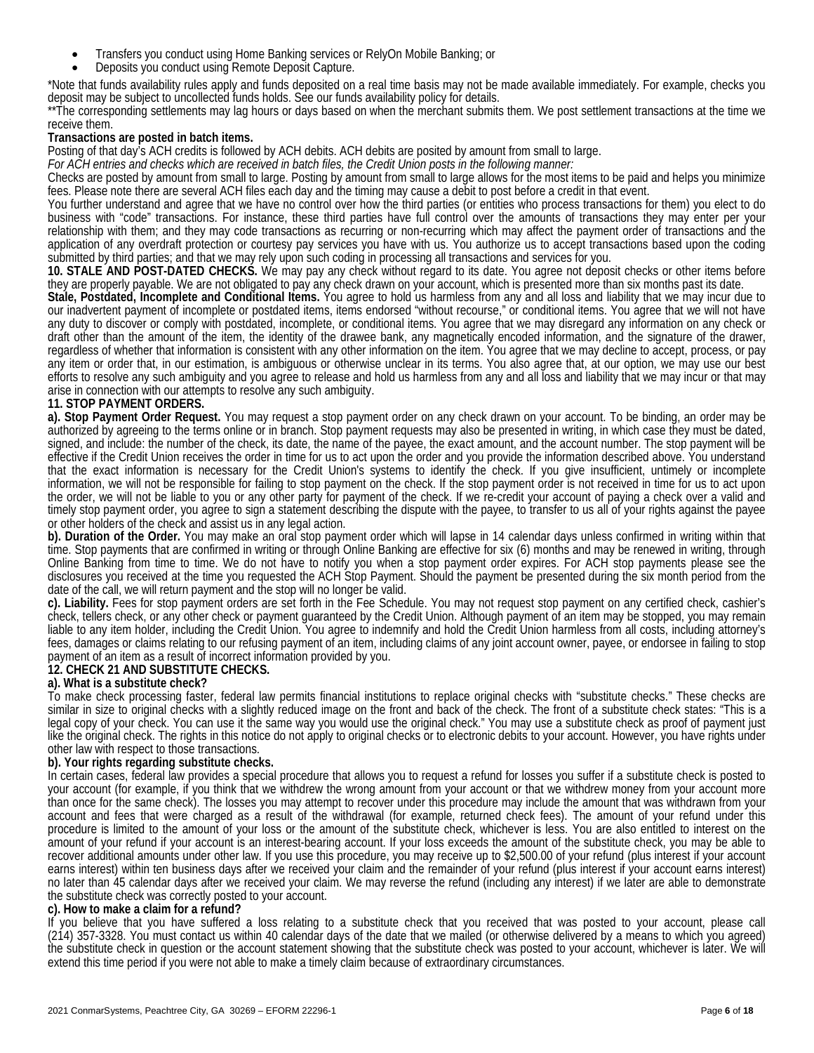- Transfers you conduct using Home Banking services or RelyOn Mobile Banking; or
- Deposits you conduct using Remote Deposit Capture.

\*Note that funds availability rules apply and funds deposited on a real time basis may not be made available immediately. For example, checks you deposit may be subject to uncollected funds holds. See our funds availability policy for details.

\*\*The corresponding settlements may lag hours or days based on when the merchant submits them. We post settlement transactions at the time we receive them.

### **Transactions are posted in batch items.**

Posting of that day's ACH credits is followed by ACH debits. ACH debits are posited by amount from small to large.

*For ACH entries and checks which are received in batch files, the Credit Union posts in the following manner:*

Checks are posted by amount from small to large. Posting by amount from small to large allows for the most items to be paid and helps you minimize fees. Please note there are several ACH files each day and the timing may cause a debit to post before a credit in that event.

You further understand and agree that we have no control over how the third parties (or entities who process transactions for them) you elect to do business with "code" transactions. For instance, these third parties have full control over the amounts of transactions they may enter per your relationship with them; and they may code transactions as recurring or non-recurring which may affect the payment order of transactions and the application of any overdraft protection or courtesy pay services you have with us. You authorize us to accept transactions based upon the coding submitted by third parties; and that we may rely upon such coding in processing all transactions and services for you.

**10. STALE AND POST-DATED CHECKS.** We may pay any check without regard to its date. You agree not deposit checks or other items before they are properly payable. We are not obligated to pay any check drawn on your account,

Stale, Postdated, Incomplete and Conditional Items. You agree to hold us harmless from any and all loss and liability that we may incur due to our inadvertent payment of incomplete or postdated items, items endorsed "without recourse," or conditional items. You agree that we will not have any duty to discover or comply with postdated, incomplete, or conditional items. You agree that we may disregard any information on any check or draft other than the amount of the item, the identity of the drawee bank, any magnetically encoded information, and the signature of the drawer, regardless of whether that information is consistent with any other information on the item. You agree that we may decline to accept, process, or pay any item or order that, in our estimation, is ambiguous or otherwise unclear in its terms. You also agree that, at our option, we may use our best efforts to resolve any such ambiguity and you agree to release and hold us harmless from any and all loss and liability that we may incur or that may arise in connection with our attempts to resolve any such ambiguity.

# **11. STOP PAYMENT ORDERS.**

**a). Stop Payment Order Request.** You may request a stop payment order on any check drawn on your account. To be binding, an order may be authorized by agreeing to the terms online or in branch. Stop payment requests may also be presented in writing, in which case they must be dated, signed, and include: the number of the check, its date, the name of the payee, the exact amount, and the account number. The stop payment will be effective if the Credit Union receives the order in time for us to act upon the order and you provide the information described above. You understand that the exact information is necessary for the Credit Union's systems to identify the check. If you give insufficient, untimely or incomplete information, we will not be responsible for failing to stop payment on the check. If the stop payment order is not received in time for us to act upon the order, we will not be liable to you or any other party for payment of the check. If we re-credit your account of paying a check over a valid and timely stop payment order, you agree to sign a statement describing the dispute with the payee, to transfer to us all of your rights against the payee or other holders of the check and assist us in any legal action.

**b). Duration of the Order.** You may make an oral stop payment order which will lapse in 14 calendar days unless confirmed in writing within that time. Stop payments that are confirmed in writing or through Online Banking are effective for six (6) months and may be renewed in writing, through Online Banking from time to time. We do not have to notify you when a stop payment order expires. For ACH stop payments please see the disclosures you received at the time you requested the ACH Stop Payment. Should the payment be presented during the six month period from the date of the call, we will return payment and the stop will no longer be valid.

**c). Liability.** Fees for stop payment orders are set forth in the Fee Schedule. You may not request stop payment on any certified check, cashier's check, tellers check, or any other check or payment guaranteed by the Credit Union. Although payment of an item may be stopped, you may remain liable to any item holder, including the Credit Union. You agree to indemnify and hold the Credit Union harmless from all costs, including attorney's fees, damages or claims relating to our refusing payment of an item, including claims of any joint account owner, payee, or endorsee in failing to stop payment of an item as a result of incorrect information provided by you.

### **12. CHECK 21 AND SUBSTITUTE CHECKS.**

### **a). What is a substitute check?**

To make check processing faster, federal law permits financial institutions to replace original checks with "substitute checks." These checks are similar in size to original checks with a slightly reduced image on the front and back of the check. The front of a substitute check states: "This is a legal copy of your check. You can use it the same way you would use the original check." You may use a substitute check as proof of payment just like the original check. The rights in this notice do not apply to original checks or to electronic debits to your account. However, you have rights under other law with respect to those transactions.

### **b). Your rights regarding substitute checks.**

In certain cases, federal law provides a special procedure that allows you to request a refund for losses you suffer if a substitute check is posted to your account (for example, if you think that we withdrew the wrong amount from your account or that we withdrew money from your account more than once for the same check). The losses you may attempt to recover under this procedure may include the amount that was withdrawn from your account and fees that were charged as a result of the withdrawal (for example, returned check fees). The amount of your refund under this procedure is limited to the amount of your loss or the amount of the substitute check, whichever is less. You are also entitled to interest on the amount of your refund if your account is an interest-bearing account. If your loss exceeds the amount of the substitute check, you may be able to recover additional amounts under other law. If you use this procedure, you may receive up to \$2,500.00 of your refund (plus interest if your account earns interest) within ten business days after we received your claim and the remainder of your refund (plus interest if your account earns interest) no later than 45 calendar days after we received your claim. We may reverse the refund (including any interest) if we later are able to demonstrate the substitute check was correctly posted to your account.

### **c). How to make a claim for a refund?**

If you believe that you have suffered a loss relating to a substitute check that you received that was posted to your account, please call (214) 357-3328. You must contact us within 40 calendar days of the date that we mailed (or otherwise delivered by a means to which you agreed) the substitute check in question or the account statement showing that the substitute check was posted to your account, whichever is later. We will extend this time period if you were not able to make a timely claim because of extraordinary circumstances.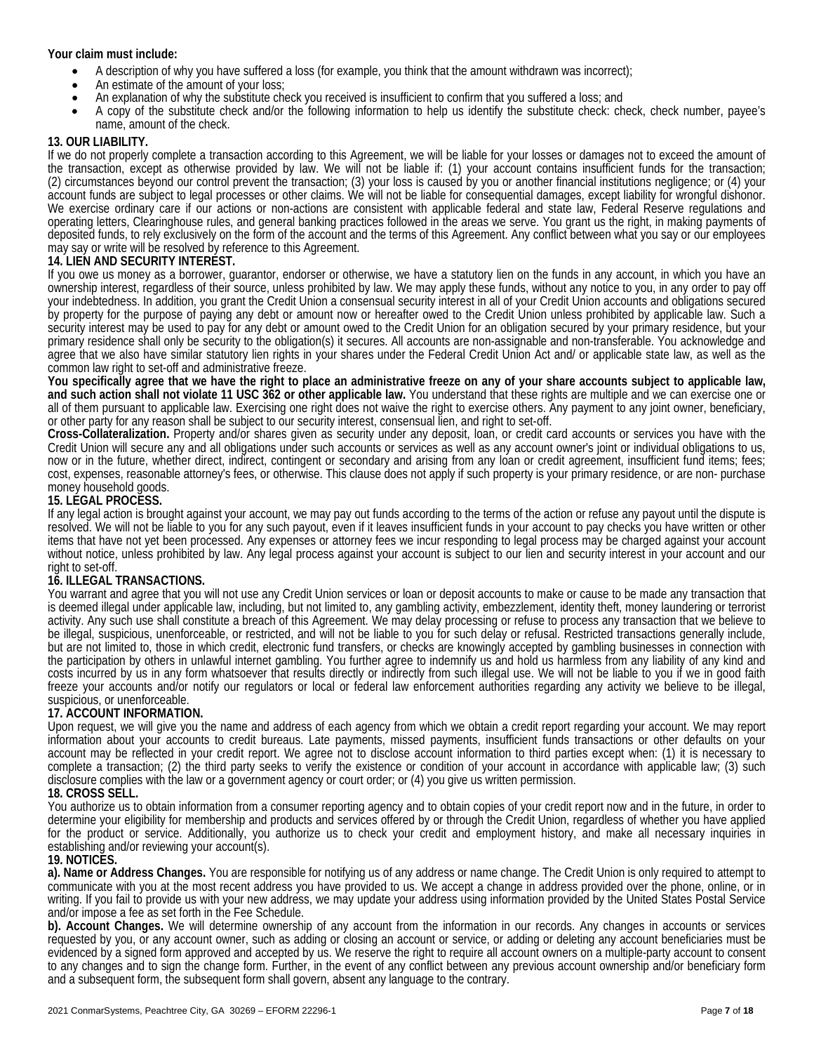### **Your claim must include:**

- A description of why you have suffered a loss (for example, you think that the amount withdrawn was incorrect);
- 
- An estimate of the amount of your loss;<br>An explanation of why the substitute check you received is insufficient to confirm that you suffered a loss; and
- A copy of the substitute check and/or the following information to help us identify the substitute check: check, check number, payee's name, amount of the check.

### **13. OUR LIABILITY.**

If we do not properly complete a transaction according to this Agreement, we will be liable for your losses or damages not to exceed the amount of the transaction, except as otherwise provided by law. We will not be liable if: (1) your account contains insufficient funds for the transaction; (2) circumstances beyond our control prevent the transaction; (3) your loss is caused by you or another financial institutions negligence; or (4) your account funds are subject to legal processes or other claims. We will not be liable for consequential damages, except liability for wrongful dishonor. We exercise ordinary care if our actions or non-actions are consistent with applicable federal and state law, Federal Reserve regulations and operating letters, Clearinghouse rules, and general banking practices followed in the areas we serve. You grant us the right, in making payments of deposited funds, to rely exclusively on the form of the account and the terms of this Agreement. Any conflict between what you say or our employees may say or write will be resolved by reference to this Agreement.

### **14. LIEN AND SECURITY INTEREST.**

If you owe us money as a borrower, guarantor, endorser or otherwise, we have a statutory lien on the funds in any account, in which you have an ownership interest, regardless of their source, unless prohibited by law. We may apply these funds, without any notice to you, in any order to pay off your indebtedness. In addition, you grant the Credit Union a consensual security interest in all of your Credit Union accounts and obligations secured by property for the purpose of paying any debt or amount now or hereafter owed to the Credit Union unless prohibited by applicable law. Such a security interest may be used to pay for any debt or amount owed to the Credit Union for an obligation secured by your primary residence, but your primary residence shall only be security to the obligation(s) it secures. All accounts are non-assignable and non-transferable. You acknowledge and agree that we also have similar statutory lien rights in your shares under the Federal Credit Union Act and/ or applicable state law, as well as the common law right to set-off and administrative freeze.

**You specifically agree that we have the right to place an administrative freeze on any of your share accounts subject to applicable law, and such action shall not violate 11 USC 362 or other applicable law.** You understand that these rights are multiple and we can exercise one or all of them pursuant to applicable law. Exercising one right does not waive the right to exercise others. Any payment to any joint owner, beneficiary, or other party for any reason shall be subject to our security interest, consensual lien, and right to set-off.

**Cross-Collateralization.** Property and/or shares given as security under any deposit, loan, or credit card accounts or services you have with the Credit Union will secure any and all obligations under such accounts or services as well as any account owner's joint or individual obligations to us, now or in the future, whether direct, indirect, contingent or secondary and arising from any loan or credit agreement, insufficient fund items; fees; cost, expenses, reasonable attorney's fees, or otherwise. This clause does not apply if such property is your primary residence, or are non- purchase money household goods.

### **15. LEGAL PROCESS.**

If any legal action is brought against your account, we may pay out funds according to the terms of the action or refuse any payout until the dispute is resolved. We will not be liable to you for any such payout, even if it leaves insufficient funds in your account to pay checks you have written or other items that have not yet been processed. Any expenses or attorney fees we incur responding to legal process may be charged against your account without notice, unless prohibited by law. Any legal process against your account is subject to our lien and security interest in your account and our right to set-off.

# **16. ILLEGAL TRANSACTIONS.**

You warrant and agree that you will not use any Credit Union services or loan or deposit accounts to make or cause to be made any transaction that is deemed illegal under applicable law, including, but not limited to, any gambling activity, embezzlement, identity theft, money laundering or terrorist activity. Any such use shall constitute a breach of this Agreement. We may delay processing or refuse to process any transaction that we believe to be illegal, suspicious, unenforceable, or restricted, and will not be liable to you for such delay or refusal. Restricted transactions generally include, but are not limited to, those in which credit, electronic fund transfers, or checks are knowingly accepted by gambling businesses in connection with the participation by others in unlawful internet gambling. You further agree to indemnify us and hold us harmless from any liability of any kind and costs incurred by us in any form whatsoever that results directly or indirectly from such illegal use. We will not be liable to you if we in good faith freeze your accounts and/or notify our regulators or local or federal law enforcement authorities regarding any activity we believe to be illegal, suspicious, or unenforceable.

### **17. ACCOUNT INFORMATION.**

Upon request, we will give you the name and address of each agency from which we obtain a credit report regarding your account. We may report information about your accounts to credit bureaus. Late payments, missed payments, insufficient funds transactions or other defaults on your account may be reflected in your credit report. We agree not to disclose account information to third parties except when: (1) it is necessary to complete a transaction; (2) the third party seeks to verify the existence or condition of your account in accordance with applicable law; (3) such disclosure complies with the law or a government agency or court order; or (4) you give us written permission.

### **18. CROSS SELL.**

You authorize us to obtain information from a consumer reporting agency and to obtain copies of your credit report now and in the future, in order to determine your eligibility for membership and products and services offered by or through the Credit Union, regardless of whether you have applied for the product or service. Additionally, you authorize us to check your credit and employment history, and make all necessary inquiries in establishing and/or reviewing your account(s).

### **19. NOTICES.**

**a). Name or Address Changes.** You are responsible for notifying us of any address or name change. The Credit Union is only required to attempt to communicate with you at the most recent address you have provided to us. We accept a change in address provided over the phone, online, or in writing. If you fail to provide us with your new address, we may update your address using information provided by the United States Postal Service and/or impose a fee as set forth in the Fee Schedule.

**b). Account Changes.** We will determine ownership of any account from the information in our records. Any changes in accounts or services requested by you, or any account owner, such as adding or closing an account or service, or adding or deleting any account beneficiaries must be evidenced by a signed form approved and accepted by us. We reserve the right to require all account owners on a multiple-party account to consent to any changes and to sign the change form. Further, in the event of any conflict between any previous account ownership and/or beneficiary form and a subsequent form, the subsequent form shall govern, absent any language to the contrary.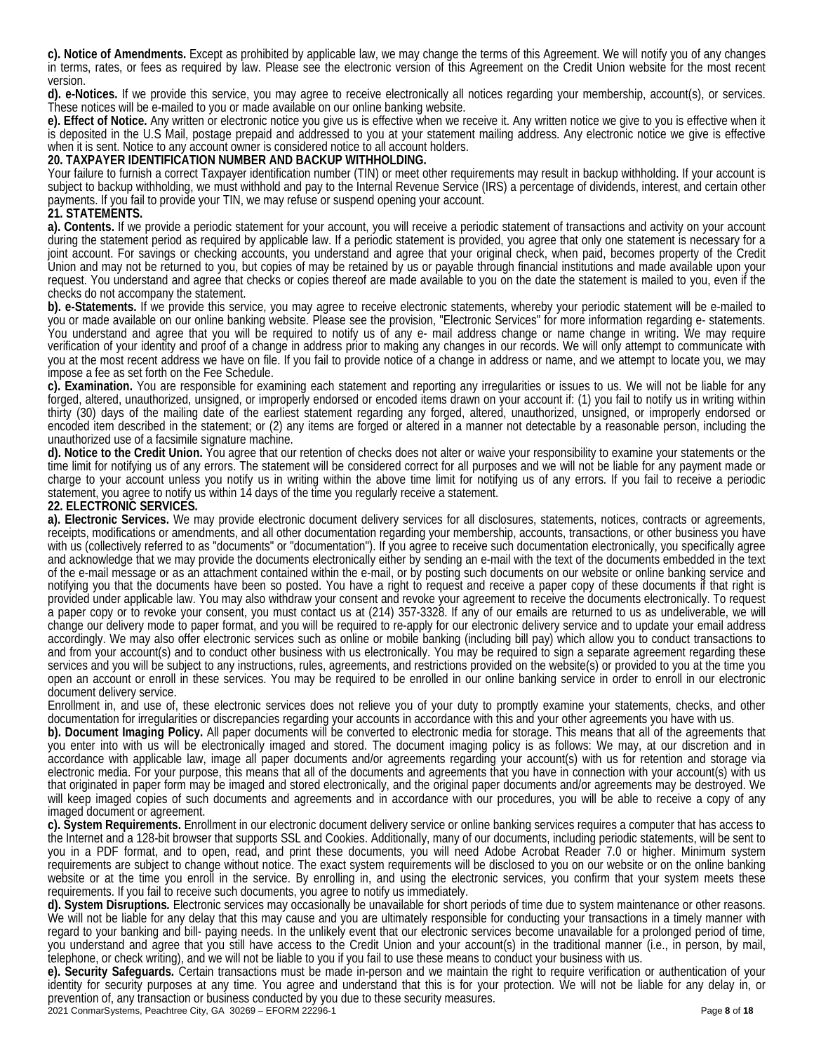**c). Notice of Amendments.** Except as prohibited by applicable law, we may change the terms of this Agreement. We will notify you of any changes in terms, rates, or fees as required by law. Please see the electronic version of this Agreement on the Credit Union website for the most recent version.

**d). e-Notices.** If we provide this service, you may agree to receive electronically all notices regarding your membership, account(s), or services. These notices will be e-mailed to you or made available on our online banking website.

**e). Effect of Notice.** Any written or electronic notice you give us is effective when we receive it. Any written notice we give to you is effective when it is deposited in the U.S Mail, postage prepaid and addressed to you at your statement mailing address. Any electronic notice we give is effective when it is sent. Notice to any account owner is considered notice to all account holders.

# **20. TAXPAYER IDENTIFICATION NUMBER AND BACKUP WITHHOLDING.**

Your failure to furnish a correct Taxpayer identification number (TIN) or meet other requirements may result in backup withholding. If your account is subject to backup withholding, we must withhold and pay to the Internal Revenue Service (IRS) a percentage of dividends, interest, and certain other payments. If you fail to provide your TIN, we may refuse or suspend opening your account.

### **21. STATEMENTS.**

**a). Contents.** If we provide a periodic statement for your account, you will receive a periodic statement of transactions and activity on your account during the statement period as required by applicable law. If a periodic statement is provided, you agree that only one statement is necessary for a joint account. For savings or checking accounts, you understand and agree that your original check, when paid, becomes property of the Credit Union and may not be returned to you, but copies of may be retained by us or payable through financial institutions and made available upon your request. You understand and agree that checks or copies thereof are made available to you on the date the statement is mailed to you, even if the checks do not accompany the statement.

**b). e-Statements.** If we provide this service, you may agree to receive electronic statements, whereby your periodic statement will be e-mailed to you or made available on our online banking website. Please see the provision, "Electronic Services" for more information regarding e- statements. You understand and agree that you will be required to notify us of any e- mail address change or name change in writing. We may require verification of your identity and proof of a change in address prior to making any changes in our records. We will only attempt to communicate with you at the most recent address we have on file. If you fail to provide notice of a change in address or name, and we attempt to locate you, we may impose a fee as set forth on the Fee Schedule.

**c). Examination.** You are responsible for examining each statement and reporting any irregularities or issues to us. We will not be liable for any forged, altered, unauthorized, unsigned, or improperly endorsed or encoded items drawn on your account if: (1) you fail to notify us in writing within thirty (30) days of the mailing date of the earliest statement regarding any forged, altered, unauthorized, unsigned, or improperly endorsed or encoded item described in the statement; or (2) any items are forged or altered in a manner not detectable by a reasonable person, including the unauthorized use of a facsimile signature machine.

**d). Notice to the Credit Union.** You agree that our retention of checks does not alter or waive your responsibility to examine your statements or the time limit for notifying us of any errors. The statement will be considered correct for all purposes and we will not be liable for any payment made or charge to your account unless you notify us in writing within the above time limit for notifying us of any errors. If you fail to receive a periodic statement, you agree to notify us within 14 days of the time you regularly receive a statement. **22. ELECTRONIC SERVICES.** 

**a). Electronic Services.** We may provide electronic document delivery services for all disclosures, statements, notices, contracts or agreements, receipts, modifications or amendments, and all other documentation regarding your membership, accounts, transactions, or other business you have with us (collectively referred to as "documents" or "documentation"). If you agree to receive such documentation electronically, you specifically agree and acknowledge that we may provide the documents electronically either by sending an e-mail with the text of the documents embedded in the text of the e-mail message or as an attachment contained within the e-mail, or by posting such documents on our website or online banking service and notifying you that the documents have been so posted. You have a right to request and receive a paper copy of these documents if that right is provided under applicable law. You may also withdraw your consent and revoke your agreement to receive the documents electronically. To request a paper copy or to revoke your consent, you must contact us at (214) 357-3328. If any of our emails are returned to us as undeliverable, we will change our delivery mode to paper format, and you will be required to re-apply for our electronic delivery service and to update your email address accordingly. We may also offer electronic services such as online or mobile banking (including bill pay) which allow you to conduct transactions to and from your account(s) and to conduct other business with us electronically. You may be required to sign a separate agreement regarding these services and you will be subject to any instructions, rules, agreements, and restrictions provided on the website(s) or provided to you at the time you open an account or enroll in these services. You may be required to be enrolled in our online banking service in order to enroll in our electronic document delivery service.

Enrollment in, and use of, these electronic services does not relieve you of your duty to promptly examine your statements, checks, and other documentation for irregularities or discrepancies regarding your accounts in accordance with this and your other agreements you have with us.

**b). Document Imaging Policy.** All paper documents will be converted to electronic media for storage. This means that all of the agreements that you enter into with us will be electronically imaged and stored. The document imaging policy is as follows: We may, at our discretion and in accordance with applicable law, image all paper documents and/or agreements regarding your account(s) with us for retention and storage via electronic media. For your purpose, this means that all of the documents and agreements that you have in connection with your account(s) with us that originated in paper form may be imaged and stored electronically, and the original paper documents and/or agreements may be destroyed. We will keep imaged copies of such documents and agreements and in accordance with our procedures, you will be able to receive a copy of any imaged document or agreement.

**c). System Requirements.** Enrollment in our electronic document delivery service or online banking services requires a computer that has access to the Internet and a 128-bit browser that supports SSL and Cookies. Additionally, many of our documents, including periodic statements, will be sent to you in a PDF format, and to open, read, and print these documents, you will need Adobe Acrobat Reader 7.0 or higher. Minimum system requirements are subject to change without notice. The exact system requirements will be disclosed to you on our website or on the online banking website or at the time you enroll in the service. By enrolling in, and using the electronic services, you confirm that your system meets these requirements. If you fail to receive such documents, you agree to notify us immediately.

**d). System Disruptions***.* Electronic services may occasionally be unavailable for short periods of time due to system maintenance or other reasons. We will not be liable for any delay that this may cause and you are ultimately responsible for conducting your transactions in a timely manner with regard to your banking and bill- paying needs. In the unlikely event that our electronic services become unavailable for a prolonged period of time, you understand and agree that you still have access to the Credit Union and your account(s) in the traditional manner (i.e., in person, by mail, telephone, or check writing), and we will not be liable to you if you fail to use these means to conduct your business with us.

**e). Security Safeguards***.* Certain transactions must be made in-person and we maintain the right to require verification or authentication of your identity for security purposes at any time. You agree and understand that this is for your protection. We will not be liable for any delay in, or prevention of, any transaction or business conducted by you due to these security measures.

2021 ConmarSystems, Peachtree City, GA 30269 – EFORM 22296-1 Page **8** of **18**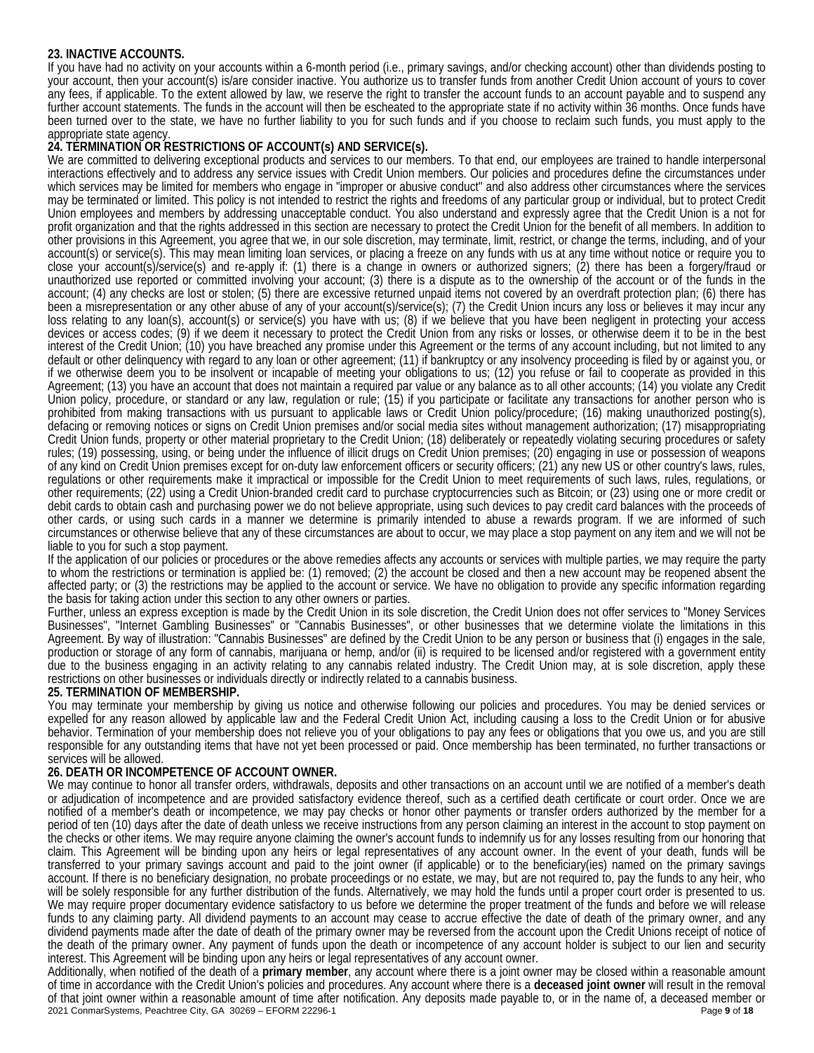# **23. INACTIVE ACCOUNTS.**

If you have had no activity on your accounts within a 6-month period (i.e., primary savings, and/or checking account) other than dividends posting to your account, then your account(s) is/are consider inactive. You authorize us to transfer funds from another Credit Union account of yours to cover any fees, if applicable. To the extent allowed by law, we reserve the right to transfer the account funds to an account payable and to suspend any further account statements. The funds in the account will then be escheated to the appropriate state if no activity within 36 months. Once funds have been turned over to the state, we have no further liability to you for such funds and if you choose to reclaim such funds, you must apply to the appropriate state agency.

# **24. TERMINATION OR RESTRICTIONS OF ACCOUNT(s) AND SERVICE(s).**

We are committed to delivering exceptional products and services to our members. To that end, our employees are trained to handle interpersonal interactions effectively and to address any service issues with Credit Union members. Our policies and procedures define the circumstances under which services may be limited for members who engage in "improper or abusive conduct'' and also address other circumstances where the services may be terminated or limited. This policy is not intended to restrict the rights and freedoms of any particular group or individual, but to protect Credit Union employees and members by addressing unacceptable conduct. You also understand and expressly agree that the Credit Union is a not for profit organization and that the rights addressed in this section are necessary to protect the Credit Union for the benefit of all members. In addition to other provisions in this Agreement, you agree that we, in our sole discretion, may terminate, limit, restrict, or change the terms, including, and of your account(s) or service(s). This may mean limiting loan services, or placing a freeze on any funds with us at any time without notice or require you to close your account(s)/service(s) and re-apply if: (1) there is a change in owners or authorized signers; (2) there has been a forgery/fraud or unauthorized use reported or committed involving your account; (3) there is a dispute as to the ownership of the account or of the funds in the account; (4) any checks are lost or stolen; (5) there are excessive returned unpaid items not covered by an overdraft protection plan; (6) there has been a misrepresentation or any other abuse of any of your account(s)/service(s); (7) the Credit Union incurs any loss or believes it may incur any loss relating to any loan(s), account(s) or service(s) you have with us; (8) if we believe that you have been negligent in protecting your access devices or access codes; (9) if we deem it necessary to protect the Credit Union from any risks or losses, or otherwise deem it to be in the best interest of the Credit Union; (10) you have breached any promise under this Agreement or the terms of any account including, but not limited to any default or other delinquency with regard to any loan or other agreement; (11) if bankruptcy or any insolvency proceeding is filed by or against you, or if we otherwise deem you to be insolvent or incapable of meeting your obligations to us; (12) you refuse or fail to cooperate as provided in this Agreement; (13) you have an account that does not maintain a required par value or any balance as to all other accounts; (14) you violate any Credit Union policy, procedure, or standard or any law, regulation or rule; (15) if you participate or facilitate any transactions for another person who is prohibited from making transactions with us pursuant to applicable laws or Credit Union policy/procedure; (16) making unauthorized posting(s), defacing or removing notices or signs on Credit Union premises and/or social media sites without management authorization; (17) misappropriating Credit Union funds, property or other material proprietary to the Credit Union; (18) deliberately or repeatedly violating securing procedures or safety rules; (19) possessing, using, or being under the influence of illicit drugs on Credit Union premises; (20) engaging in use or possession of weapons of any kind on Credit Union premises except for on-duty law enforcement officers or security officers; (21) any new US or other country's laws, rules, regulations or other requirements make it impractical or impossible for the Credit Union to meet requirements of such laws, rules, regulations, or other requirements; (22) using a Credit Union-branded credit card to purchase cryptocurrencies such as Bitcoin; or (23) using one or more credit or debit cards to obtain cash and purchasing power we do not believe appropriate, using such devices to pay credit card balances with the proceeds of other cards, or using such cards in a manner we determine is primarily intended to abuse a rewards program. If we are informed of such circumstances or otherwise believe that any of these circumstances are about to occur, we may place a stop payment on any item and we will not be liable to you for such a stop payment.

If the application of our policies or procedures or the above remedies affects any accounts or services with multiple parties, we may require the party to whom the restrictions or termination is applied be: (1) removed; (2) the account be closed and then a new account may be reopened absent the affected party; or (3) the restrictions may be applied to the account or service. We have no obligation to provide any specific information regarding the basis for taking action under this section to any other owners or parties.

Further, unless an express exception is made by the Credit Union in its sole discretion, the Credit Union does not offer services to "Money Services Businesses", "Internet Gambling Businesses" or "Cannabis Businesses", or other businesses that we determine violate the limitations in this Agreement. By way of illustration: "Cannabis Businesses" are defined by the Credit Union to be any person or business that (i) engages in the sale, production or storage of any form of cannabis, marijuana or hemp, and/or (ii) is required to be licensed and/or registered with a government entity due to the business engaging in an activity relating to any cannabis related industry. The Credit Union may, at is sole discretion, apply these restrictions on other businesses or individuals directly or indirectly related to a cannabis business.

# **25. TERMINATION OF MEMBERSHIP.**

You may terminate your membership by giving us notice and otherwise following our policies and procedures. You may be denied services or expelled for any reason allowed by applicable law and the Federal Credit Union Act, including causing a loss to the Credit Union or for abusive behavior. Termination of your membership does not relieve you of your obligations to pay any fees or obligations that you owe us, and you are still responsible for any outstanding items that have not yet been processed or paid. Once membership has been terminated, no further transactions or services will be allowed.

# **26. DEATH OR INCOMPETENCE OF ACCOUNT OWNER.**

We may continue to honor all transfer orders, withdrawals, deposits and other transactions on an account until we are notified of a member's death or adjudication of incompetence and are provided satisfactory evidence thereof, such as a certified death certificate or court order. Once we are notified of a member's death or incompetence, we may pay checks or honor other payments or transfer orders authorized by the member for a period of ten (10) days after the date of death unless we receive instructions from any person claiming an interest in the account to stop payment on the checks or other items. We may require anyone claiming the owner's account funds to indemnify us for any losses resulting from our honoring that claim. This Agreement will be binding upon any heirs or legal representatives of any account owner. In the event of your death, funds will be transferred to your primary savings account and paid to the joint owner (if applicable) or to the beneficiary(ies) named on the primary savings account. If there is no beneficiary designation, no probate proceedings or no estate, we may, but are not required to, pay the funds to any heir, who will be solely responsible for any further distribution of the funds. Alternatively, we may hold the funds until a proper court order is presented to us. We may require proper documentary evidence satisfactory to us before we determine the proper treatment of the funds and before we will release funds to any claiming party. All dividend payments to an account may cease to accrue effective the date of death of the primary owner, and any dividend payments made after the date of death of the primary owner may be reversed from the account upon the Credit Unions receipt of notice of the death of the primary owner. Any payment of funds upon the death or incompetence of any account holder is subject to our lien and security interest. This Agreement will be binding upon any heirs or legal representatives of any account owner.

2021 ConmarSystems, Peachtree City, GA 30269 – EFORM 22296-1 Page **9** of **18** Additionally, when notified of the death of a **primary member**, any account where there is a joint owner may be closed within a reasonable amount of time in accordance with the Credit Union's policies and procedures. Any account where there is a **deceased joint owner** will result in the removal of that joint owner within a reasonable amount of time after notification. Any deposits made payable to, or in the name of, a deceased member or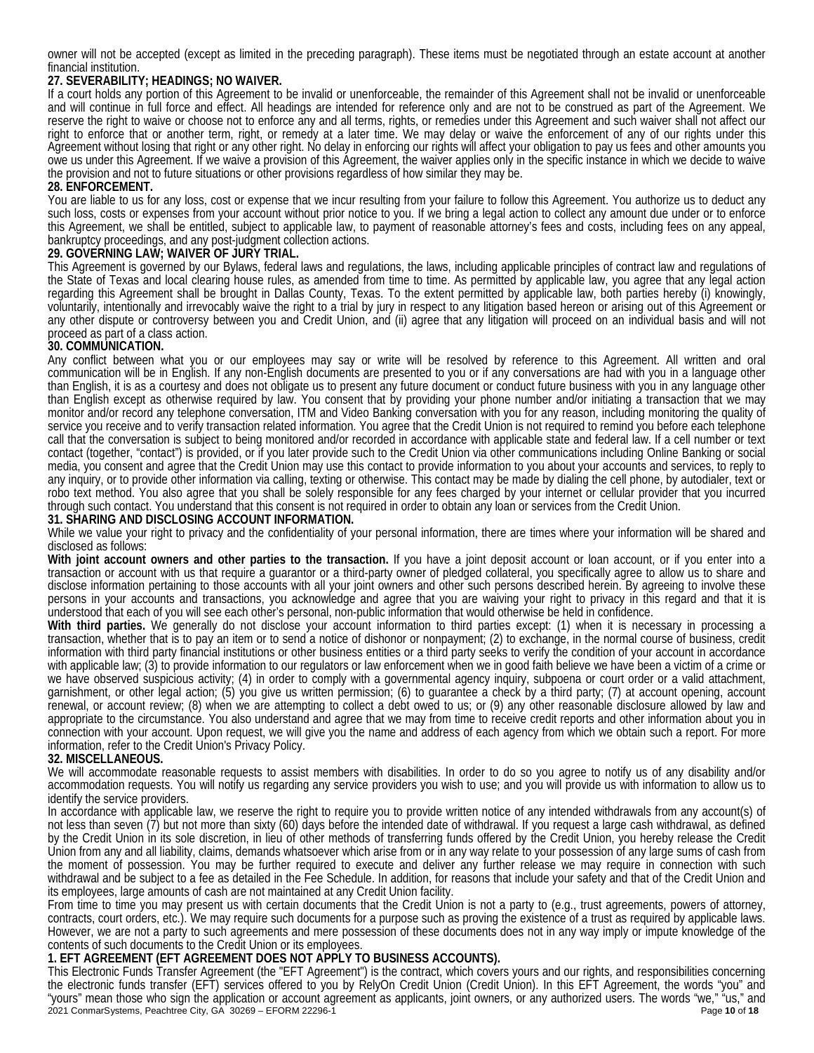owner will not be accepted (except as limited in the preceding paragraph). These items must be negotiated through an estate account at another financial institution.

# **27. SEVERABILITY; HEADINGS; NO WAIVER.**

If a court holds any portion of this Agreement to be invalid or unenforceable, the remainder of this Agreement shall not be invalid or unenforceable and will continue in full force and effect. All headings are intended for reference only and are not to be construed as part of the Agreement. We reserve the right to waive or choose not to enforce any and all terms, rights, or remedies under this Agreement and such waiver shall not affect our right to enforce that or another term, right, or remedy at a later time. We may delay or waive the enforcement of any of our rights under this Agreement without losing that right or any other right. No delay in enforcing our rights will affect your obligation to pay us fees and other amounts you owe us under this Agreement. If we waive a provision of this Agreement, the waiver applies only in the specific instance in which we decide to waive the provision and not to future situations or other provisions regardless of how similar they may be.

### **28. ENFORCEMENT.**

You are liable to us for any loss, cost or expense that we incur resulting from your failure to follow this Agreement. You authorize us to deduct any such loss, costs or expenses from your account without prior notice to you. If we bring a legal action to collect any amount due under or to enforce this Agreement, we shall be entitled, subject to applicable law, to payment of reasonable attorney's fees and costs, including fees on any appeal, bankruptcy proceedings, and any post-judgment collection actions.

### **29. GOVERNING LAW; WAIVER OF JURY TRIAL.**

This Agreement is governed by our Bylaws, federal laws and regulations, the laws, including applicable principles of contract law and regulations of the State of Texas and local clearing house rules, as amended from time to time. As permitted by applicable law, you agree that any legal action regarding this Agreement shall be brought in Dallas County, Texas. To the extent permitted by applicable law, both parties hereby (i) knowingly, voluntarily, intentionally and irrevocably waive the right to a trial by jury in respect to any litigation based hereon or arising out of this Agreement or any other dispute or controversy between you and Credit Union, and (ii) agree that any litigation will proceed on an individual basis and will not proceed as part of a class action.

### **30. COMMUNICATION.**

Any conflict between what you or our employees may say or write will be resolved by reference to this Agreement. All written and oral communication will be in English. If any non-English documents are presented to you or if any conversations are had with you in a language other than English, it is as a courtesy and does not obligate us to present any future document or conduct future business with you in any language other than English except as otherwise required by law. You consent that by providing your phone number and/or initiating a transaction that we may monitor and/or record any telephone conversation, ITM and Video Banking conversation with you for any reason, including monitoring the quality of service you receive and to verify transaction related information. You agree that the Credit Union is not required to remind you before each telephone call that the conversation is subject to being monitored and/or recorded in accordance with applicable state and federal law. If a cell number or text contact (together, "contact") is provided, or if you later provide such to the Credit Union via other communications including Online Banking or social media, you consent and agree that the Credit Union may use this contact to provide information to you about your accounts and services, to reply to any inquiry, or to provide other information via calling, texting or otherwise. This contact may be made by dialing the cell phone, by autodialer, text or robo text method. You also agree that you shall be solely responsible for any fees charged by your internet or cellular provider that you incurred through such contact. You understand that this consent is not required in order to obtain any loan or services from the Credit Union.

### **31. SHARING AND DISCLOSING ACCOUNT INFORMATION.**

While we value your right to privacy and the confidentiality of your personal information, there are times where your information will be shared and disclosed as follows:

**With joint account owners and other parties to the transaction.** If you have a joint deposit account or loan account, or if you enter into a transaction or account with us that require a guarantor or a third-party owner of pledged collateral, you specifically agree to allow us to share and disclose information pertaining to those accounts with all your joint owners and other such persons described herein. By agreeing to involve these persons in your accounts and transactions, you acknowledge and agree that you are waiving your right to privacy in this regard and that it is understood that each of you will see each other's personal, non-public information that would otherwise be held in confidence.

**With third parties.** We generally do not disclose your account information to third parties except: (1) when it is necessary in processing a transaction, whether that is to pay an item or to send a notice of dishonor or nonpayment; (2) to exchange, in the normal course of business, credit information with third party financial institutions or other business entities or a third party seeks to verify the condition of your account in accordance with applicable law; (3) to provide information to our regulators or law enforcement when we in good faith believe we have been a victim of a crime or we have observed suspicious activity; (4) in order to comply with a governmental agency inquiry, subpoena or court order or a valid attachment, garnishment, or other legal action; (5) you give us written permission; (6) to guarantee a check by a third party; (7) at account opening, account renewal, or account review; (8) when we are attempting to collect a debt owed to us; or (9) any other reasonable disclosure allowed by law and appropriate to the circumstance. You also understand and agree that we may from time to receive credit reports and other information about you in connection with your account. Upon request, we will give you the name and address of each agency from which we obtain such a report. For more information, refer to the Credit Union's Privacy Policy.

### **32. MISCELLANEOUS.**

We will accommodate reasonable requests to assist members with disabilities. In order to do so you agree to notify us of any disability and/or accommodation requests. You will notify us regarding any service providers you wish to use; and you will provide us with information to allow us to identify the service providers.

In accordance with applicable law, we reserve the right to require you to provide written notice of any intended withdrawals from any account(s) of not less than seven (7) but not more than sixty (60) days before the intended date of withdrawal. If you request a large cash withdrawal, as defined by the Credit Union in its sole discretion, in lieu of other methods of transferring funds offered by the Credit Union, you hereby release the Credit Union from any and all liability, claims, demands whatsoever which arise from or in any way relate to your possession of any large sums of cash from the moment of possession. You may be further required to execute and deliver any further release we may require in connection with such withdrawal and be subject to a fee as detailed in the Fee Schedule. In addition, for reasons that include your safety and that of the Credit Union and its employees, large amounts of cash are not maintained at any Credit Union facility.

From time to time you may present us with certain documents that the Credit Union is not a party to (e.g., trust agreements, powers of attorney, contracts, court orders, etc.). We may require such documents for a purpose such as proving the existence of a trust as required by applicable laws. However, we are not a party to such agreements and mere possession of these documents does not in any way imply or impute knowledge of the contents of such documents to the Credit Union or its employees.

# **1. EFT AGREEMENT (EFT AGREEMENT DOES NOT APPLY TO BUSINESS ACCOUNTS).**

2021 ConmarSystems, Peachtree City, GA 30269 – EFORM 22296-1 Page **10** of **18** This Electronic Funds Transfer Agreement (the "EFT Agreement") is the contract, which covers yours and our rights, and responsibilities concerning the electronic funds transfer (EFT) services offered to you by RelyOn Credit Union (Credit Union). In this EFT Agreement, the words "you" and "yours" mean those who sign the application or account agreement as applicants, joint owners, or any authorized users. The words "we," "us," and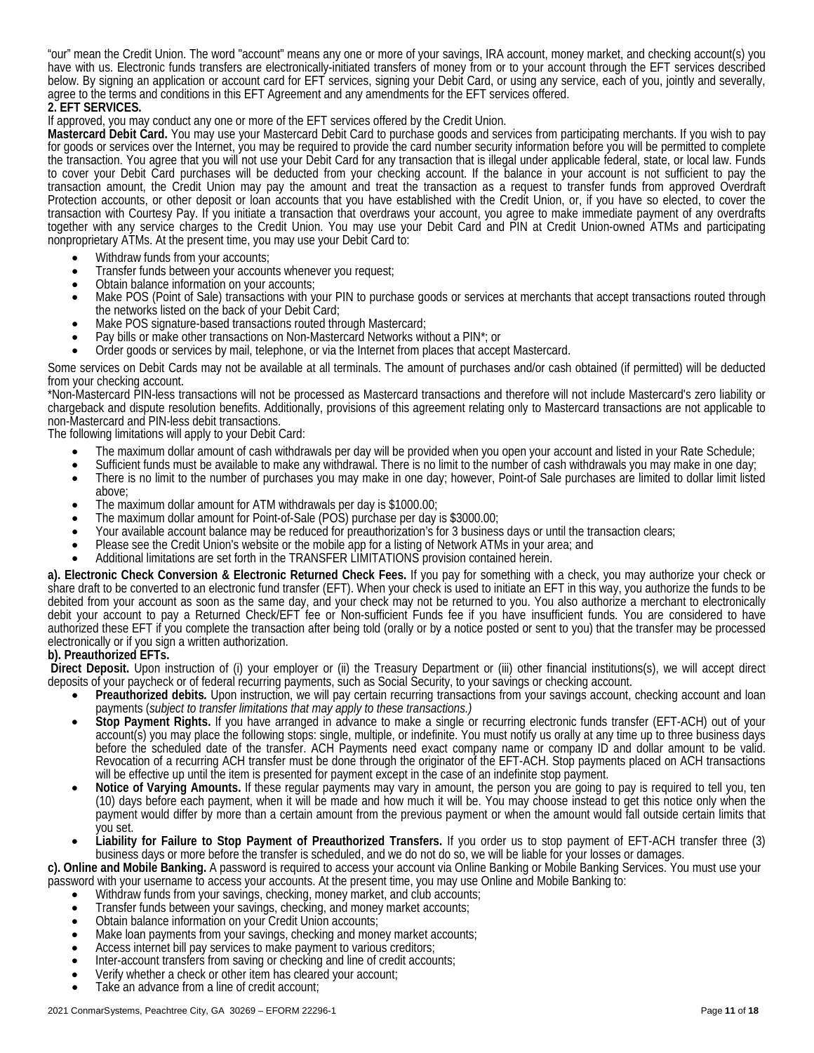"our" mean the Credit Union. The word "account" means any one or more of your savings, IRA account, money market, and checking account(s) you have with us. Electronic funds transfers are electronically-initiated transfers of money from or to your account through the EFT services described below. By signing an application or account card for EFT services, signing your Debit Card, or using any service, each of you, jointly and severally, agree to the terms and conditions in this EFT Agreement and any amendments for the EFT services offered.

2. **EFT SERVICES.**<br>If approved, you may conduct any one or more of the EFT services offered by the Credit Union.

Mastercard Debit Card. You may use your Mastercard Debit Card to purchase goods and services from participating merchants. If you wish to pay for goods or services over the Internet, you may be required to provide the card number security information before you will be permitted to complete the transaction. You agree that you will not use your Debit Card for any transaction that is illegal under applicable federal, state, or local law. Funds to cover your Debit Card purchases will be deducted from your checking account. If the balance in your account is not sufficient to pay the transaction amount, the Credit Union may pay the amount and treat the transaction as a request to transfer funds from approved Overdraft Protection accounts, or other deposit or loan accounts that you have established with the Credit Union, or, if you have so elected, to cover the transaction with Courtesy Pay. If you initiate a transaction that overdraws your account, you agree to make immediate payment of any overdrafts together with any service charges to the Credit Union. You may use your Debit Card and PIN at Credit Union-owned ATMs and participating nonproprietary ATMs. At the present time, you may use your Debit Card to:

- Withdraw funds from your accounts;
- Transfer funds between your accounts whenever you request;<br>Obtain balance information on your accounts;
- 
- Make POS (Point of Sale) transactions with your PIN to purchase goods or services at merchants that accept transactions routed through
- the networks listed on the back of your Debit Card;<br>Make POS signature-based transactions routed through Mastercard;
- Pay bills or make other transactions on Non-Mastercard Networks without a PIN\*; or
- Order goods or services by mail, telephone, or via the Internet from places that accept Mastercard.

Some services on Debit Cards may not be available at all terminals. The amount of purchases and/or cash obtained (if permitted) will be deducted from your checking account.

\*Non-Mastercard PIN-less transactions will not be processed as Mastercard transactions and therefore will not include Mastercard's zero liability or chargeback and dispute resolution benefits. Additionally, provisions of this agreement relating only to Mastercard transactions are not applicable to non-Mastercard and PIN-less debit transactions.

The following limitations will apply to your Debit Card:

- 
- 
- The maximum dollar amount of cash withdrawals per day will be provided when you open your account and listed in your Rate Schedule;<br>• Sufficient funds must be available to make any withdrawal. There is no limit to the nu
- 
- 
- above;<br>The maximum dollar amount for ATM withdrawals per day is \$1000.00;<br>The maximum dollar amount for Point-of-Sale (POS) purchase per day is \$3000.00;<br>Your available account balance may be reduced for preauthorization's
- Please see the Credit Union's website or the mobile app for a listing of Network ATMs in your area; and<br>Additional limitations are set forth in the TRANSFER LIMITATIONS provision contained herein.
- 

**a). Electronic Check Conversion & Electronic Returned Check Fees.** If you pay for something with a check, you may authorize your check or share draft to be converted to an electronic fund transfer (EFT). When your check is used to initiate an EFT in this way, you authorize the funds to be debited from your account as soon as the same day, and your check may not be returned to you. You also authorize a merchant to electronically debit your account to pay a Returned Check/EFT fee or Non-sufficient Funds fee if you have insufficient funds. You are considered to have authorized these EFT if you complete the transaction after being told (orally or by a notice posted or sent to you) that the transfer may be processed electronically or if you sign a written authorization.

### **b). Preauthorized EFTs.**

**Direct Deposit.** Upon instruction of (i) your employer or (ii) the Treasury Department or (iii) other financial institutions(s), we will accept direct deposits of your paycheck or of federal recurring payments, such as Social Security, to your savings or checking account.

- **Preauthorized debits***.* Upon instruction, we will pay certain recurring transactions from your savings account, checking account and loan
- payments (subject to transfer limitations that may apply to these transactions.)<br>Stop Payment Rights. If you have arranged in advance to make a single or recurring electronic funds transfer (EFT-ACH) out of your account(s) you may place the following stops: single, multiple, or indefinite. You must notify us orally at any time up to three business days before the scheduled date of the transfer. ACH Payments need exact company name or company ID and dollar amount to be valid. Revocation of a recurring ACH transfer must be done through the originator of the EFT-ACH. Stop payments placed on ACH transactions will be effective up until the item is presented for payment except in the case of an indefinite stop payment.
- **Notice of Varying Amounts.** If these regular payments may vary in amount, the person you are going to pay is required to tell you, ten (10) days before each payment, when it will be made and how much it will be. You may choose instead to get this notice only when the payment would differ by more than a certain amount from the previous payment or when the amount would fall outside certain limits that you set.
- **Liability for Failure to Stop Payment of Preauthorized Transfers.** If you order us to stop payment of EFT-ACH transfer three (3) business days or more before the transfer is scheduled, and we do not do so, we will be liable for your losses or damages.

**c). Online and Mobile Banking.** A password is required to access your account via Online Banking or Mobile Banking Services. You must use your password with your username to access your accounts. At the present time, you may use Online and Mobile Banking to:

- Withdraw funds from your savings, checking, money market, and club accounts;
- Transfer funds between your savings, checking, and money market accounts; Obtain balance information on your Credit Union accounts;
- 
- Make loan payments from your savings, checking and money market accounts;
- Access internet bill pay services to make payment to various creditors;
- Inter-account transfers from saving or checking and line of credit accounts;
- Verify whether a check or other item has cleared your account;
- Take an advance from a line of credit account;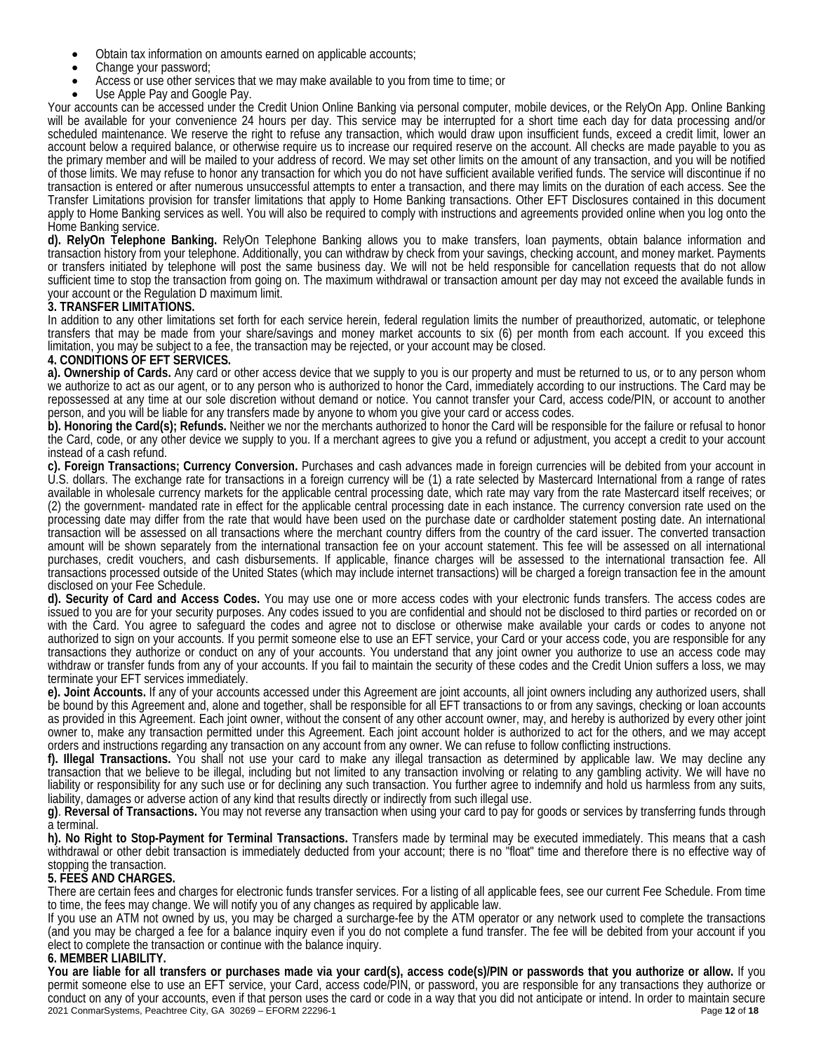- Obtain tax information on amounts earned on applicable accounts;
- Change your password;
- Access or use other services that we may make available to you from time to time; or
- Use Apple Pay and Google Pay.

Your accounts can be accessed under the Credit Union Online Banking via personal computer, mobile devices, or the RelyOn App. Online Banking will be available for your convenience 24 hours per day. This service may be interrupted for a short time each day for data processing and/or scheduled maintenance. We reserve the right to refuse any transaction, which would draw upon insufficient funds, exceed a credit limit, lower an account below a required balance, or otherwise require us to increase our required reserve on the account. All checks are made payable to you as the primary member and will be mailed to your address of record. We may set other limits on the amount of any transaction, and you will be notified of those limits. We may refuse to honor any transaction for which you do not have sufficient available verified funds. The service will discontinue if no transaction is entered or after numerous unsuccessful attempts to enter a transaction, and there may limits on the duration of each access. See the Transfer Limitations provision for transfer limitations that apply to Home Banking transactions. Other EFT Disclosures contained in this document apply to Home Banking services as well. You will also be required to comply with instructions and agreements provided online when you log onto the Home Banking service.

**d). RelyOn Telephone Banking.** RelyOn Telephone Banking allows you to make transfers, loan payments, obtain balance information and transaction history from your telephone. Additionally, you can withdraw by check from your savings, checking account, and money market. Payments or transfers initiated by telephone will post the same business day. We will not be held responsible for cancellation requests that do not allow sufficient time to stop the transaction from going on. The maximum withdrawal or transaction amount per day may not exceed the available funds in your account or the Regulation D maximum limit.

### **3. TRANSFER LIMITATIONS.**

In addition to any other limitations set forth for each service herein, federal regulation limits the number of preauthorized, automatic, or telephone transfers that may be made from your share/savings and money market accounts to six (6) per month from each account. If you exceed this limitation, you may be subject to a fee, the transaction may be rejected, or your account may be closed.

### **4. CONDITIONS OF EFT SERVICES.**

**a). Ownership of Cards.** Any card or other access device that we supply to you is our property and must be returned to us, or to any person whom we authorize to act as our agent, or to any person who is authorized to honor the Card, immediately according to our instructions. The Card may be repossessed at any time at our sole discretion without demand or notice. You cannot transfer your Card, access code/PIN, or account to another person, and you will be liable for any transfers made by anyone to whom you give your card or access codes.

**b). Honoring the Card(s); Refunds.** Neither we nor the merchants authorized to honor the Card will be responsible for the failure or refusal to honor the Card, code, or any other device we supply to you. If a merchant agrees to give you a refund or adjustment, you accept a credit to your account instead of a cash refund.

**c). Foreign Transactions; Currency Conversion.** Purchases and cash advances made in foreign currencies will be debited from your account in U.S. dollars. The exchange rate for transactions in a foreign currency will be (1) a rate selected by Mastercard International from a range of rates<br>available in wholesale currency markets for the applicable central proces (2) the government- mandated rate in effect for the applicable central processing date in each instance. The currency conversion rate used on the processing date may differ from the rate that would have been used on the purchase date or cardholder statement posting date. An international transaction will be assessed on all transactions where the merchant country differs from the country of the card issuer. The converted transaction amount will be shown separately from the international transaction fee on your account statement. This fee will be assessed on all international purchases, credit vouchers, and cash disbursements. If applicable, finance charges will be assessed to the international transaction fee. All transactions processed outside of the United States (which may include internet transactions) will be charged a foreign transaction fee in the amount disclosed on your Fee Schedule.

**d). Security of Card and Access Codes.** You may use one or more access codes with your electronic funds transfers. The access codes are issued to you are for your security purposes. Any codes issued to you are confidential and should not be disclosed to third parties or recorded on or with the Card. You agree to safeguard the codes and agree not to disclose or otherwise make available your cards or codes to anyone not authorized to sign on your accounts. If you permit someone else to use an EFT service, your Card or your access code, you are responsible for any transactions they authorize or conduct on any of your accounts. You understand that any joint owner you authorize to use an access code may withdraw or transfer funds from any of your accounts. If you fail to maintain the security of these codes and the Credit Union suffers a loss, we may terminate your EFT services immediately.

**e). Joint Accounts.** If any of your accounts accessed under this Agreement are joint accounts, all joint owners including any authorized users, shall be bound by this Agreement and, alone and together, shall be responsible for all EFT transactions to or from any savings, checking or loan accounts as provided in this Agreement. Each joint owner, without the consent of any other account owner, may, and hereby is authorized by every other joint owner to, make any transaction permitted under this Agreement. Each joint account holder is authorized to act for the others, and we may accept orders and instructions regarding any transaction on any account from any owner. We can refuse to follow conflicting instructions.

**f). Illegal Transactions.** You shall not use your card to make any illegal transaction as determined by applicable law. We may decline any transaction that we believe to be illegal, including but not limited to any transaction involving or relating to any gambling activity. We will have no liability or responsibility for any such use or for declining any such transaction. You further agree to indemnify and hold us harmless from any suits, liability, damages or adverse action of any kind that results directly or indirectly from such illegal use.

**g)**. **Reversal of Transactions.** You may not reverse any transaction when using your card to pay for goods or services by transferring funds through a terminal.

**h). No Right to Stop-Payment for Terminal Transactions.** Transfers made by terminal may be executed immediately. This means that a cash withdrawal or other debit transaction is immediately deducted from your account; there is no "float" time and therefore there is no effective way of stopping the transaction.

# **5. FEES AND CHARGES.**

There are certain fees and charges for electronic funds transfer services. For a listing of all applicable fees, see our current Fee Schedule. From time to time, the fees may change. We will notify you of any changes as required by applicable law.<br>If you use an ATM not owned by us, you may be charged a surcharge-fee by the ATM operator or any network used to complete the t

(and you may be charged a fee for a balance inquiry even if you do not complete a fund transfer. The fee will be debited from your account if you elect to complete the transaction or continue with the balance inquiry.

# **6. MEMBER LIABILITY.**

2021 ConmarSystems, Peachtree City, GA 30269 – EFORM 22296-1 Page **12** of **18 You are liable for all transfers or purchases made via your card(s), access code(s)/PIN or passwords that you authorize or allow.** If you permit someone else to use an EFT service, your Card, access code/PIN, or password, you are responsible for any transactions they authorize or conduct on any of your accounts, even if that person uses the card or code in a way that you did not anticipate or intend. In order to maintain secure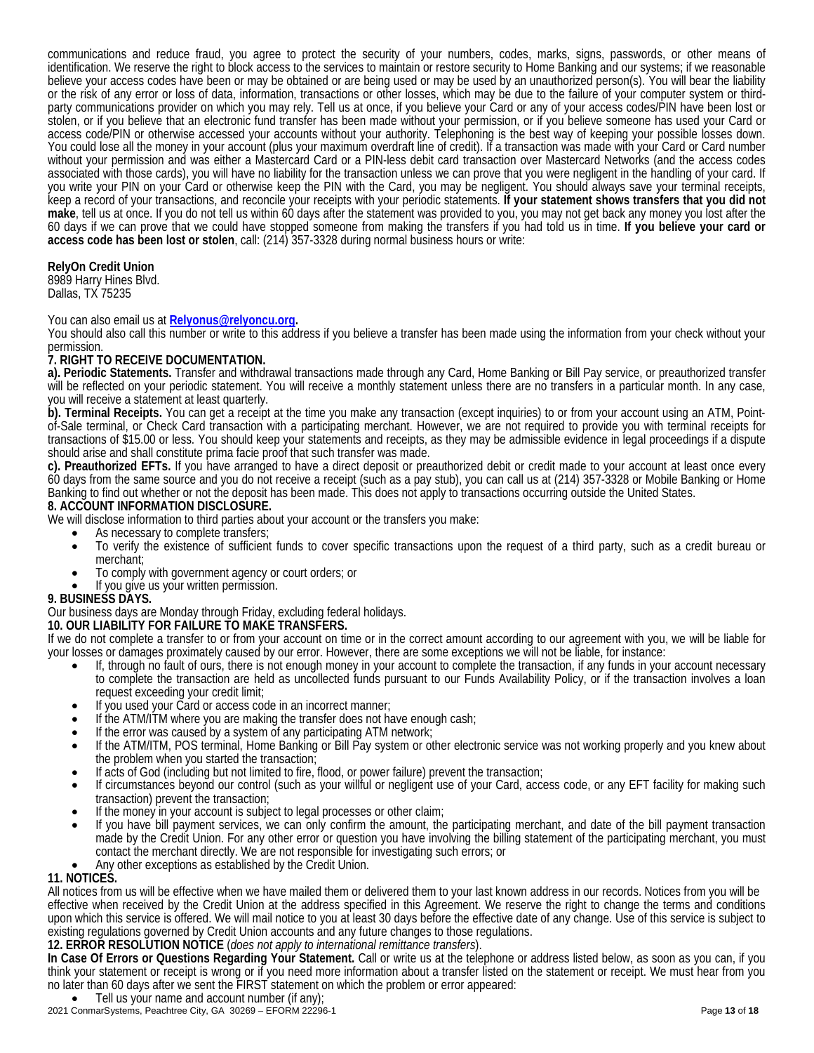communications and reduce fraud, you agree to protect the security of your numbers, codes, marks, signs, passwords, or other means of identification. We reserve the right to block access to the services to maintain or restore security to Home Banking and our systems; if we reasonable believe your access codes have been or may be obtained or are being used or may be used by an unauthorized person(s). You will bear the liability or the risk of any error or loss of data, information, transactions or other losses, which may be due to the failure of your computer system or thirdparty communications provider on which you may rely. Tell us at once, if you believe your Card or any of your access codes/PIN have been lost or stolen, or if you believe that an electronic fund transfer has been made without your permission, or if you believe someone has used your Card or access code/PIN or otherwise accessed your accounts without your authority. Telephoning is the best way of keeping your possible losses down. You could lose all the money in your account (plus your maximum overdraft line of credit). If a transaction was made with your Card or Card number without your permission and was either a Mastercard Card or a PIN-less debit card transaction over Mastercard Networks (and the access codes associated with those cards), you will have no liability for the transaction unless we can prove that you were negligent in the handling of your card. If you write your PIN on your Card or otherwise keep the PIN with the Card, you may be negligent. You should always save your terminal receipts, keep a record of your transactions, and reconcile your receipts with your periodic statements. **If your statement shows transfers that you did not make**, tell us at once. If you do not tell us within 60 days after the statement was provided to you, you may not get back any money you lost after the 60 days if we can prove that we could have stopped someone from making the transfers if you had told us in time. **If you believe your card or access code has been lost or stolen**, call: (214) 357-3328 during normal business hours or write:

# **RelyOn Credit Union**

8989 Harry Hines Blvd. Dallas, TX 75235

You can also email us at **[Relyonus@relyoncu.org.](mailto:Relyonus@relyoncu.org)**

You should also call this number or write to this address if you believe a transfer has been made using the information from your check without your permission.

# **7. RIGHT TO RECEIVE DOCUMENTATION.**

**a). Periodic Statements.** Transfer and withdrawal transactions made through any Card, Home Banking or Bill Pay service, or preauthorized transfer will be reflected on your periodic statement. You will receive a monthly statement unless there are no transfers in a particular month. In any case,

you will receive a statement at least quarterly.<br>b). Terminal Receipts. You can get a receipt at the time you make any transaction (except inquiries) to or from your account using an ATM, Pointof-Sale terminal, or Check Card transaction with a participating merchant. However, we are not required to provide you with terminal receipts for transactions of \$15.00 or less. You should keep your statements and receipts, as they may be admissible evidence in legal proceedings if a dispute should arise and shall constitute prima facie proof that such transfer was made.

**c). Preauthorized EFTs.** If you have arranged to have a direct deposit or preauthorized debit or credit made to your account at least once every 60 days from the same source and you do not receive a receipt (such as a pay stub), you can call us at (214) 357-3328 or Mobile Banking or Home Banking to find out whether or not the deposit has been made. This does not apply to transactions occurring outside the United States.

## **8. ACCOUNT INFORMATION DISCLOSURE.**

We will disclose information to third parties about your account or the transfers you make:

- As necessary to complete transfers;
- To verify the existence of sufficient funds to cover specific transactions upon the request of a third party, such as a credit bureau or merchant;
- To comply with government agency or court orders; or If you give us your written permission.
- 

# **9. BUSINESS DAYS.**

# Our business days are Monday through Friday, excluding federal holidays.

**10. OUR LIABILITY FOR FAILURE TO MAKE TRANSFERS.**

If we do not complete a transfer to or from your account on time or in the correct amount according to our agreement with you, we will be liable for your losses or damages proximately caused by our error. However, there ar

- If, through no fault of ours, there is not enough money in your account to complete the transaction, if any funds in your account necessary to complete the transaction are held as uncollected funds pursuant to our Funds Availability Policy, or if the transaction involves a loan request exceeding your credit limit;
- If you used your Card or access code in an incorrect manner;
- If the ATM/ITM where you are making the transfer does not have enough cash;
- If the error was caused by a system of any participating ATM network;
- If the ATM/ITM, POS terminal, Home Banking or Bill Pay system or other electronic service was not working properly and you knew about the problem when you started the transaction;
- If acts of God (including but not limited to fire, flood, or power failure) prevent the transaction;
- If circumstances beyond our control (such as your willful or negligent use of your Card, access code, or any EFT facility for making such
- transaction) prevent the transaction;<br>If the money in your account is subject to legal processes or other claim;
- If you have bill payment services, we can only confirm the amount, the participating merchant, and date of the bill payment transaction made by the Credit Union. For any other error or question you have involving the billing statement of the participating merchant, you must contact the merchant directly. We are not responsible for investigating such errors; or Any other exceptions as established by the Credit Union.
- 

# **11. NOTICES.**

All notices from us will be effective when we have mailed them or delivered them to your last known address in our records. Notices from you will be effective when received by the Credit Union at the address specified in this Agreement. We reserve the right to change the terms and conditions upon which this service is offered. We will mail notice to you at least 30 days before the effective date of any change. Use of this service is subject to existing regulations governed by Credit Union accounts and any future changes to those regulations.

### **12. ERROR RESOLUTION NOTICE** (*does not apply to international remittance transfers*).

**In Case Of Errors or Questions Regarding Your Statement.** Call or write us at the telephone or address listed below, as soon as you can, if you think your statement or receipt is wrong or if you need more information about a transfer listed on the statement or receipt. We must hear from you no later than 60 days after we sent the FIRST statement on which the problem or error appeared:

Tell us your name and account number (if any);

2021 ConmarSystems, Peachtree City, GA 30269 – EFORM 22296-1 Page **13** of **18**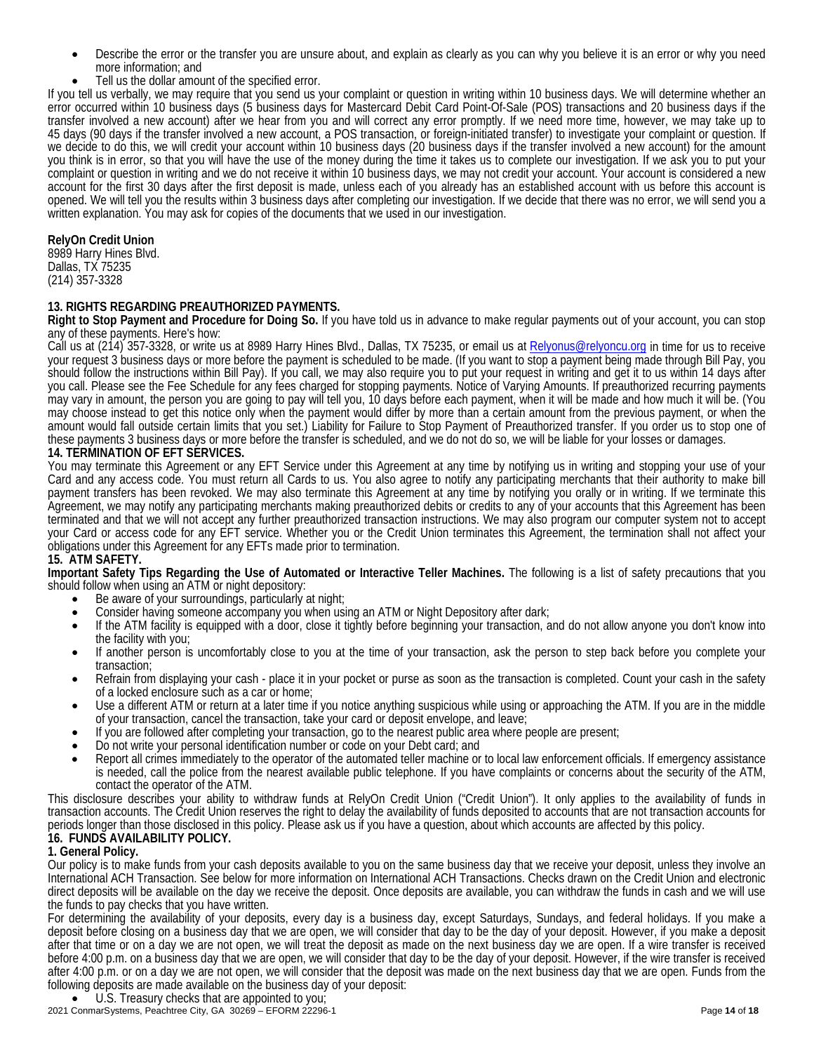- Describe the error or the transfer you are unsure about, and explain as clearly as you can why you believe it is an error or why you need more information; and
- Tell us the dollar amount of the specified error.

If you tell us verbally, we may require that you send us your complaint or question in writing within 10 business days. We will determine whether an error occurred within 10 business days (5 business days for Mastercard Debit Card Point-Of-Sale (POS) transactions and 20 business days if the transfer involved a new account) after we hear from you and will correct any er 45 days (90 days if the transfer involved a new account, a POS transaction, or foreign-initiated transfer) to investigate your complaint or question. If we decide to do this, we will credit your account within 10 business days (20 business days if the transfer involved a new account) for the amount you think is in error, so that you will have the use of the money during the time it takes us to complete our investigation. If we ask you to put your complaint or question in writing and we do not receive it within 10 business days, we may not credit your account. Your account is considered a new account for the first 30 days after the first deposit is made, unless each of you already has an established account with us before this account is opened. We will tell you the results within 3 business days after completing our investigation. If we decide that there was no error, we will send you a written explanation. You may ask for copies of the documents that we used in our investigation.

### **RelyOn Credit Union**

8989 Harry Hines Blvd. Dallas, TX 75235 (214) 357-3328

# **13. RIGHTS REGARDING PREAUTHORIZED PAYMENTS.**

**Right to Stop Payment and Procedure for Doing So.** If you have told us in advance to make regular payments out of your account, you can stop any of these payments. Here's how:

Call us at (214) 357-3328, or write us at 8989 Harry Hines Blvd., Dallas, TX 75235, or email us a[t Relyonus@relyoncu.org](mailto:Relyonus@relyoncu.org) in time for us to receive your request 3 business days or more before the payment is scheduled to be made. (If you want to stop a payment being made through Bill Pay, you should follow the instructions within Bill Pay). If you call, we may also require you to put your request in writing and get it to us within 14 days after you call. Please see the Fee Schedule for any fees charged for stopping payments. Notice of Varying Amounts. If preauthorized recurring payments may vary in amount, the person you are going to pay will tell you, 10 days before each payment, when it will be made and how much it will be. (You may choose instead to get this notice only when the payment would differ by more than a certain amount from the previous payment, or when the amount would fall outside certain limits that you set.) Liability for Failure to Stop Payment of Preauthorized transfer. If you order us to stop one of these payments 3 business days or more before the transfer is scheduled, and we do not do so, we will be liable for your losses or damages.

### **14. TERMINATION OF EFT SERVICES.**

You may terminate this Agreement or any EFT Service under this Agreement at any time by notifying us in writing and stopping your use of your Card and any access code. You must return all Cards to us. You also agree to notify any participating merchants that their authority to make bill payment transfers has been revoked. We may also terminate this Agreement at any time by notifying you orally or in writing. If we terminate this Agreement, we may notify any participating merchants making preauthorized debits or credits to any of your accounts that this Agreement has been terminated and that we will not accept any further preauthorized transaction instructions. We may also program our computer system not to accept your Card or access code for any EFT service. Whether you or the Credit Union terminates this Agreement, the termination shall not affect your obligations under this Agreement for any EFTs made prior to termination.

### **15. ATM SAFETY.**

**Important Safety Tips Regarding the Use of Automated or Interactive Teller Machines.** The following is a list of safety precautions that you should follow when using an ATM or night depository:<br>• Be aware of your surroundings, particularly at night;

- 
- Consider having someone accompany you when using an ATM or Night Depository after dark;
- If the ATM facility is equipped with a door, close it tightly before beginning your transaction, and do not allow anyone you don't know into
- the facility with you;<br>If another person is uncomfortably close to you at the time of your transaction, ask the person to step back before you complete your transaction;
- Refrain from displaying your cash place it in your pocket or purse as soon as the transaction is completed. Count your cash in the safety of a locked enclosure such as a car or home;
- Use a different ATM or return at a later time if you notice anything suspicious while using or approaching the ATM. If you are in the middle of your transaction, cancel the transaction, take your card or deposit envelope, and leave;
- If you are followed after completing your transaction, go to the nearest public area where people are present; Do not write your personal identification number or code on your Debt card; and
- 
- Report all crimes immediately to the operator of the automated teller machine or to local law enforcement officials. If emergency assistance is needed, call the police from the nearest available public telephone. If you have complaints or concerns about the security of the ATM, contact the operator of the ATM.

This disclosure describes your ability to withdraw funds at RelyOn Credit Union ("Credit Union"). It only applies to the availability of funds in transaction accounts. The Credit Union reserves the right to delay the availability of funds deposited to accounts that are not transaction accounts for periods longer than those disclosed in this policy. Please ask us if you have a question, about which accounts are affected by this policy.

# **16. FUNDS AVAILABILITY POLICY.**

# **1. General Policy.**

Our policy is to make funds from your cash deposits available to you on the same business day that we receive your deposit, unless they involve an International ACH Transaction. See below for more information on International ACH Transactions. Checks drawn on the Credit Union and electronic direct deposits will be available on the day we receive the deposit. Once deposits are available, you can withdraw the funds in cash and we will use the funds to pay checks that you have written.

For determining the availability of your deposits, every day is a business day, except Saturdays, Sundays, and federal holidays. If you make a deposit before closing on a business day that we are open, we will consider that day to be the day of your deposit. However, if you make a deposit after that time or on a day we are not open, we will treat the deposit as made on the next business day we are open. If a wire transfer is received before 4:00 p.m. on a business day that we are open, we will consider that day to be the day of your deposit. However, if the wire transfer is received after 4:00 p.m. or on a day we are not open, we will consider that the deposit was made on the next business day that we are open. Funds from the following deposits are made available on the business day of your deposit:

• U.S. Treasury checks that are appointed to you;

2021 ConmarSystems, Peachtree City, GA 30269 – EFORM 22296-1 Page **14** of **18**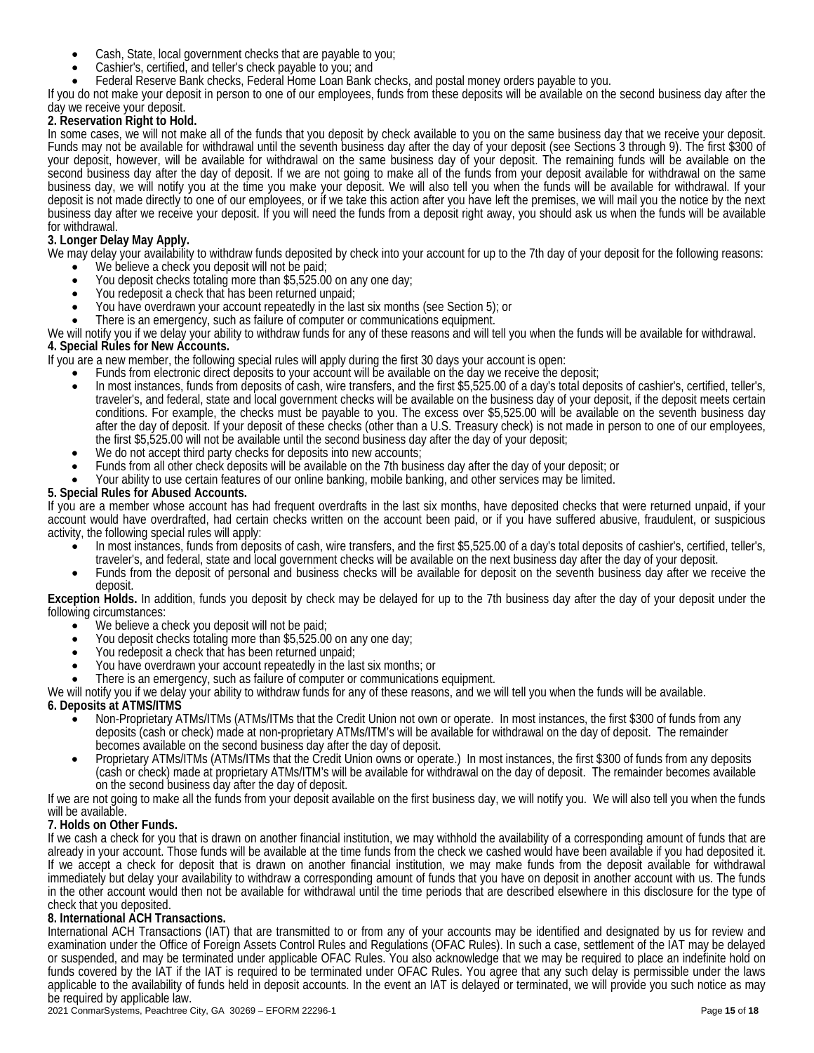- Cash, State, local government checks that are payable to you;
- Cashier's, certified, and teller's check payable to you; and
- Federal Reserve Bank checks, Federal Home Loan Bank checks, and postal money orders payable to you.

If you do not make your deposit in person to one of our employees, funds from these deposits will be available on the second business day after the day we receive your deposit.

# **2. Reservation Right to Hold.**

In some cases, we will not make all of the funds that you deposit by check available to you on the same business day that we receive your deposit. Funds may not be available for withdrawal until the seventh business day after the day of your deposit (see Sections 3 through 9). The first \$300 of your deposit, however, will be available for withdrawal on the same business day of your deposit. The remaining funds will be available on the second business day after the day of deposit. If we are not going to make all of the funds from your deposit available for withdrawal on the same business day, we will notify you at the time you make your deposit. We will also tell you when the funds will be available for withdrawal. If your deposit is not made directly to one of our employees, or if we take this action after you have left the premises, we will mail you the notice by the next business day after we receive your deposit. If you will need the funds from a deposit right away, you should ask us when the funds will be available for withdrawal.

# **3. Longer Delay May Apply.**

We may delay your availability to withdraw funds deposited by check into your account for up to the 7th day of your deposit for the following reasons:<br>• We believe a check you deposit will not be paid;

- 
- You deposit checks totaling more than \$5,525.00 on any one day;
- You redeposit a check that has been returned unpaid;
- You have overdrawn your account repeatedly in the last six months (see Section 5); or
- There is an emergency, such as failure of computer or communications equipment.

We will notify you if we delay your ability to withdraw funds for any of these reasons and will tell you when the funds will be available for withdrawal. **4. Special Rules for New Accounts.** 

If you are a new member, the following special rules will apply during the first 30 days your account is open:

- Funds from electronic direct deposits to your account will be available on the day we receive the deposit;
- In most instances, funds from deposits of cash, wire transfers, and the first \$5,525.00 of a day's total deposits of cashier's, certified, teller's, traveler's, and federal, state and local government checks will be available on the business day of your deposit, if the deposit meets certain conditions. For example, the checks must be payable to you. The excess over \$5,525.00 will be available on the seventh business day after the day of deposit. If your deposit of these checks (other than a U.S. Treasury check) is not made in person to one of our employees, the first \$5,525.00 will not be available until the second business day after the day of your deposit;
- We do not accept third party checks for deposits into new accounts;
- Funds from all other check deposits will be available on the 7th business day after the day of your deposit; or
- Your ability to use certain features of our online banking, mobile banking, and other services may be limited.

### **5. Special Rules for Abused Accounts.**

If you are a member whose account has had frequent overdrafts in the last six months, have deposited checks that were returned unpaid, if your account would have overdrafted, had certain checks written on the account been paid, or if you have suffered abusive, fraudulent, or suspicious activity, the following special rules will apply:

- In most instances, funds from deposits of cash, wire transfers, and the first \$5,525.00 of a day's total deposits of cashier's, certified, teller's, traveler's, and federal, state and local government checks will be availa
- Funds from the deposit of personal and business checks will be available for deposit on the seventh business day after we receive the deposit.

**Exception Holds.** In addition, funds you deposit by check may be delayed for up to the 7th business day after the day of your deposit under the

- We believe a check you deposit will not be paid;
- You deposit checks totaling more than \$5,525.00 on any one day; You redeposit a check that has been returned unpaid;
- 
- You have overdrawn your account repeatedly in the last six months; or
- There is an emergency, such as failure of computer or communications equipment.

We will notify you if we delay your ability to withdraw funds for any of these reasons, and we will tell you when the funds will be available.

# **6. Deposits at ATMS/ITMS**

- Non-Proprietary ATMs/ITMs (ATMs/ITMs that the Credit Union not own or operate. In most instances, the first \$300 of funds from any deposits (cash or check) made at non-proprietary ATMs/ITM's will be available for withdrawal on the day of deposit. The remainder becomes available on the second business day after the day of deposit.
- Proprietary ATMs/ITMs (ATMs/ITMs that the Credit Union owns or operate.) In most instances, the first \$300 of funds from any deposits (cash or check) made at proprietary ATMs/ITM's will be available for withdrawal on the day of deposit. The remainder becomes available on the second business day after the day of deposit.

If we are not going to make all the funds from your deposit available on the first business day, we will notify you. We will also tell you when the funds will be available.

# **7. Holds on Other Funds.**

If we cash a check for you that is drawn on another financial institution, we may withhold the availability of a corresponding amount of funds that are already in your account. Those funds will be available at the time funds from the check we cashed would have been available if you had deposited it. If we accept a check for deposit that is drawn on another financial institution, we may make funds from the deposit available for withdrawal immediately but delay your availability to withdraw a corresponding amount of funds that you have on deposit in another account with us. The funds in the other account would then not be available for withdrawal until the time periods that are described elsewhere in this disclosure for the type of check that you deposited.

# **8. International ACH Transactions.**

International ACH Transactions (IAT) that are transmitted to or from any of your accounts may be identified and designated by us for review and examination under the Office of Foreign Assets Control Rules and Regulations (OFAC Rules). In such a case, settlement of the IAT may be delayed or suspended, and may be terminated under applicable OFAC Rules. You also acknowledge that we may be required to place an indefinite hold on funds covered by the IAT if the IAT is required to be terminated under OFAC Rules. You agree that any such delay is permissible under the laws applicable to the availability of funds held in deposit accounts. In the event an IAT is delayed or terminated, we will provide you such notice as may be required by applicable law.

2021 ConmarSystems, Peachtree City, GA 30269 – EFORM 22296-1 Page **15** of **18**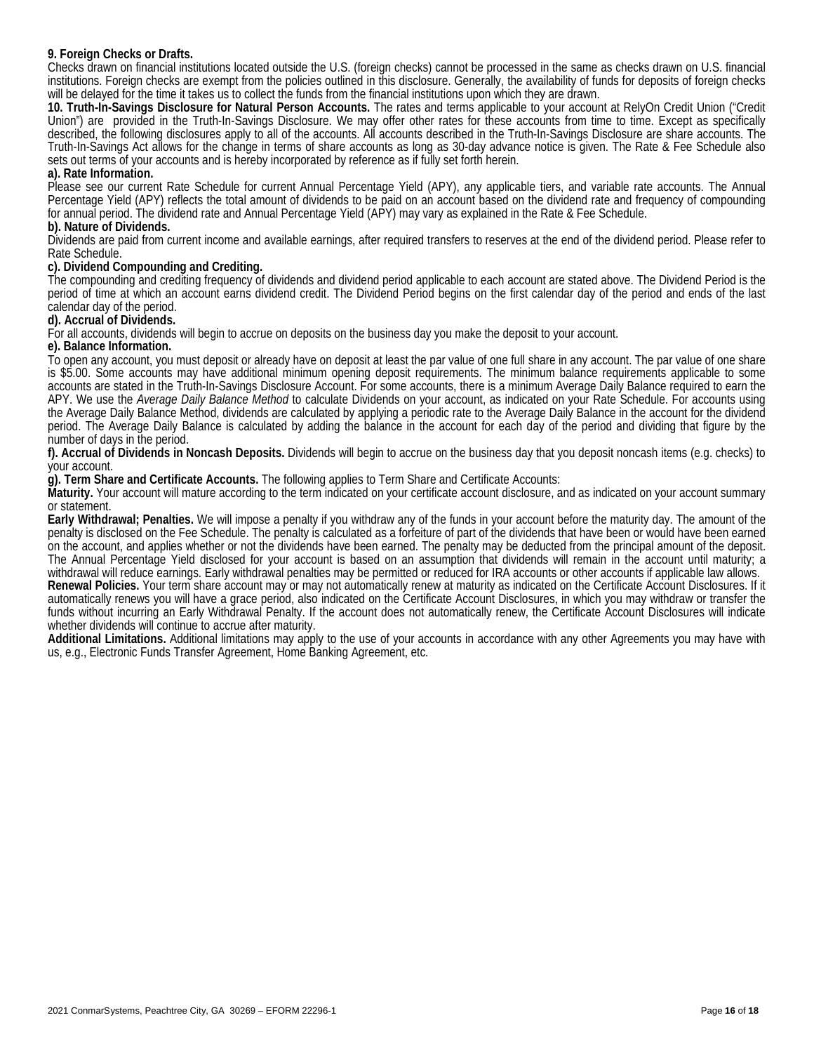## **9. Foreign Checks or Drafts.**

Checks drawn on financial institutions located outside the U.S. (foreign checks) cannot be processed in the same as checks drawn on U.S. financial institutions. Foreign checks are exempt from the policies outlined in this disclosure. Generally, the availability of funds for deposits of foreign checks will be delayed for the time it takes us to collect the funds from the financial institutions upon which they are drawn.

**10. Truth-In-Savings Disclosure for Natural Person Accounts.** The rates and terms applicable to your account at RelyOn Credit Union ("Credit Union") are provided in the Truth-In-Savings Disclosure. We may offer other rates for these accounts from time to time. Except as specifically described, the following disclosures apply to all of the accounts. All accounts described in the Truth-In-Savings Disclosure are share accounts. The Truth-In-Savings Act allows for the change in terms of share accounts as long as 30-day advance notice is given. The Rate & Fee Schedule also sets out terms of your accounts and is hereby incorporated by reference as if fully set forth herein.

### **a). Rate Information.**

Please see our current Rate Schedule for current Annual Percentage Yield (APY), any applicable tiers, and variable rate accounts. The Annual Percentage Yield (APY) reflects the total amount of dividends to be paid on an account based on the dividend rate and frequency of compounding for annual period. The dividend rate and Annual Percentage Yield (APY) may vary as explained in the Rate & Fee Schedule.

### **b). Nature of Dividends.**

Dividends are paid from current income and available earnings, after required transfers to reserves at the end of the dividend period. Please refer to Rate Schedule.

### **c). Dividend Compounding and Crediting.**

The compounding and crediting frequency of dividends and dividend period applicable to each account are stated above. The Dividend Period is the period of time at which an account earns dividend credit. The Dividend Period begins on the first calendar day of the period and ends of the last calendar day of the period.

### **d). Accrual of Dividends.**

For all accounts, dividends will begin to accrue on deposits on the business day you make the deposit to your account.

### **e). Balance Information.**

To open any account, you must deposit or already have on deposit at least the par value of one full share in any account. The par value of one share is \$5.00. Some accounts may have additional minimum opening deposit requirements. The minimum balance requirements applicable to some accounts are stated in the Truth-In-Savings Disclosure Account. For some accounts, there is a minimum Average Daily Balance required to earn the APY. We use the *Average Daily Balance Method* to calculate Dividends on your account, as indicated on your Rate Schedule. For accounts using the Average Daily Balance Method, dividends are calculated by applying a periodic rate to the Average Daily Balance in the account for the dividend period. The Average Daily Balance is calculated by adding the balance in the account for each day of the period and dividing that figure by the number of days in the period.

**f). Accrual of Dividends in Noncash Deposits.** Dividends will begin to accrue on the business day that you deposit noncash items (e.g. checks) to your account.

**g). Term Share and Certificate Accounts.** The following applies to Term Share and Certificate Accounts:

**Maturity.** Your account will mature according to the term indicated on your certificate account disclosure, and as indicated on your account summary or statement.

**Early Withdrawal; Penalties.** We will impose a penalty if you withdraw any of the funds in your account before the maturity day. The amount of the penalty is disclosed on the Fee Schedule. The penalty is calculated as a forfeiture of part of the dividends that have been or would have been earned on the account, and applies whether or not the dividends have been earned. The penalty may be deducted from the principal amount of the deposit. The Annual Percentage Yield disclosed for your account is based on an assumption that dividends will remain in the account until maturity; a withdrawal will reduce earnings. Early withdrawal penalties may be permitted or reduced for IRA accounts or other accounts if applicable law allows.

**Renewal Policies.** Your term share account may or may not automatically renew at maturity as indicated on the Certificate Account Disclosures. If it automatically renews you will have a grace period, also indicated on the Certificate Account Disclosures, in which you may withdraw or transfer the funds without incurring an Early Withdrawal Penalty. If the account does not automatically renew, the Certificate Account Disclosures will indicate whether dividends will continue to accrue after maturity.

**Additional Limitations.** Additional limitations may apply to the use of your accounts in accordance with any other Agreements you may have with us, e.g., Electronic Funds Transfer Agreement, Home Banking Agreement, etc.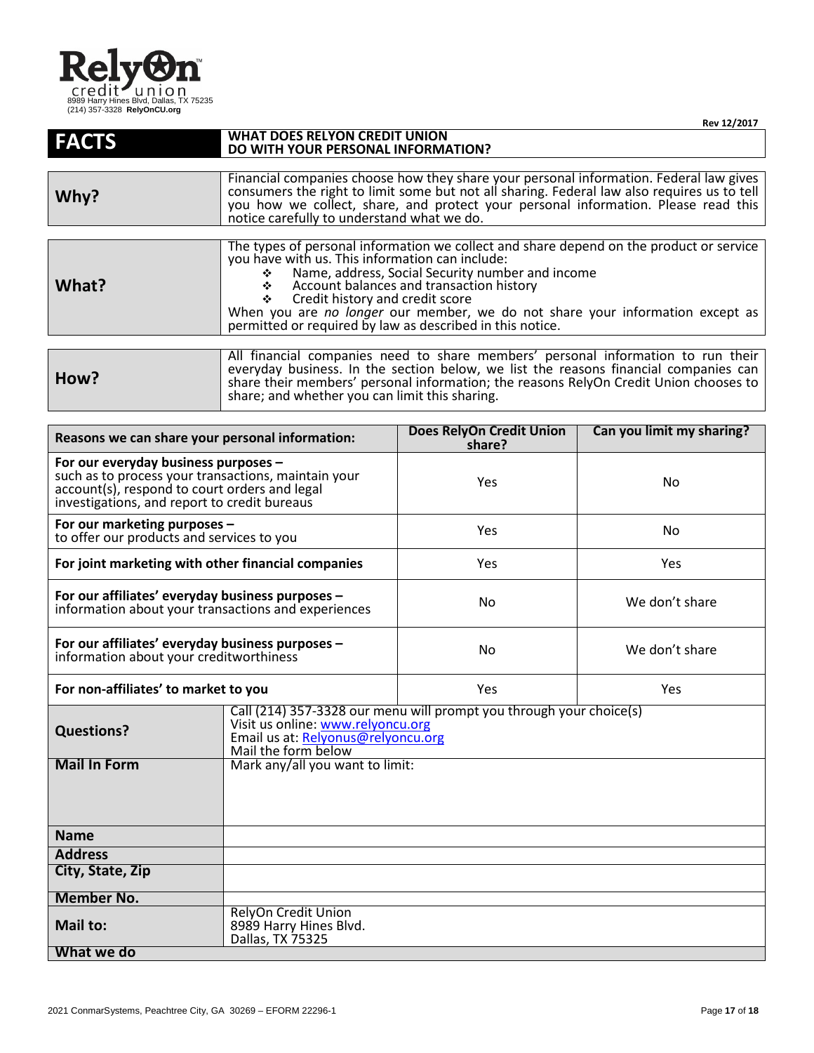

|              | Rev 12/2017                                                                                                                                                                                                                                                                                                                                                                                                                      |  |
|--------------|----------------------------------------------------------------------------------------------------------------------------------------------------------------------------------------------------------------------------------------------------------------------------------------------------------------------------------------------------------------------------------------------------------------------------------|--|
| <b>FACTS</b> | <b>WHAT DOES RELYON CREDIT UNION</b><br>DO WITH YOUR PERSONAL INFORMATION?                                                                                                                                                                                                                                                                                                                                                       |  |
|              |                                                                                                                                                                                                                                                                                                                                                                                                                                  |  |
| Why?         | Financial companies choose how they share your personal information. Federal law gives<br>consumers the right to limit some but not all sharing. Federal law also requires us to tell<br>you how we collect, share, and protect your personal information. Please read this<br>notice carefully to understand what we do.                                                                                                        |  |
|              |                                                                                                                                                                                                                                                                                                                                                                                                                                  |  |
| What?        | The types of personal information we collect and share depend on the product or service<br>you have with us. This information can include:<br>Name, address, Social Security number and income<br>Account balances and transaction history<br>Credit history and credit score<br>❖<br>When you are no longer our member, we do not share your information except as<br>permitted or required by law as described in this notice. |  |
|              |                                                                                                                                                                                                                                                                                                                                                                                                                                  |  |
| How?         | All financial companies need to share members' personal information to run their<br>everyday business. In the section below, we list the reasons financial companies can<br>share their members' personal information; the reasons RelyOn Credit Union chooses to                                                                                                                                                                |  |

share; and whether you can limit this sharing.

| Reasons we can share your personal information:                                                                                                                                              |                                                                                                                                                                       | <b>Does RelyOn Credit Union</b><br>share? | Can you limit my sharing? |
|----------------------------------------------------------------------------------------------------------------------------------------------------------------------------------------------|-----------------------------------------------------------------------------------------------------------------------------------------------------------------------|-------------------------------------------|---------------------------|
| For our everyday business purposes -<br>such as to process your transactions, maintain your<br>account(s), respond to court orders and legal<br>investigations, and report to credit bureaus |                                                                                                                                                                       | Yes                                       | No                        |
| For our marketing purposes -<br>to offer our products and services to you                                                                                                                    |                                                                                                                                                                       | Yes                                       | No                        |
| For joint marketing with other financial companies                                                                                                                                           |                                                                                                                                                                       | Yes                                       | Yes                       |
| For our affiliates' everyday business purposes -<br>information about your transactions and experiences                                                                                      |                                                                                                                                                                       | <b>No</b>                                 | We don't share            |
| For our affiliates' everyday business purposes -<br>information about your creditworthiness                                                                                                  |                                                                                                                                                                       | No                                        | We don't share            |
| For non-affiliates' to market to you                                                                                                                                                         |                                                                                                                                                                       | Yes                                       | <b>Yes</b>                |
| <b>Questions?</b>                                                                                                                                                                            | Call (214) 357-3328 our menu will prompt you through your choice(s)<br>Visit us online: www.relyoncu.org<br>Email us at: Relyonus@relyoncu.org<br>Mail the form below |                                           |                           |
| <b>Mail In Form</b>                                                                                                                                                                          | Mark any/all you want to limit:                                                                                                                                       |                                           |                           |
| <b>Name</b>                                                                                                                                                                                  |                                                                                                                                                                       |                                           |                           |
| <b>Address</b>                                                                                                                                                                               |                                                                                                                                                                       |                                           |                           |
| City, State, Zip                                                                                                                                                                             |                                                                                                                                                                       |                                           |                           |
| <b>Member No.</b>                                                                                                                                                                            |                                                                                                                                                                       |                                           |                           |
| Mail to:                                                                                                                                                                                     | <b>RelyOn Credit Union</b><br>8989 Harry Hines Blvd.<br>Dallas, TX 75325                                                                                              |                                           |                           |
| What we do                                                                                                                                                                                   |                                                                                                                                                                       |                                           |                           |